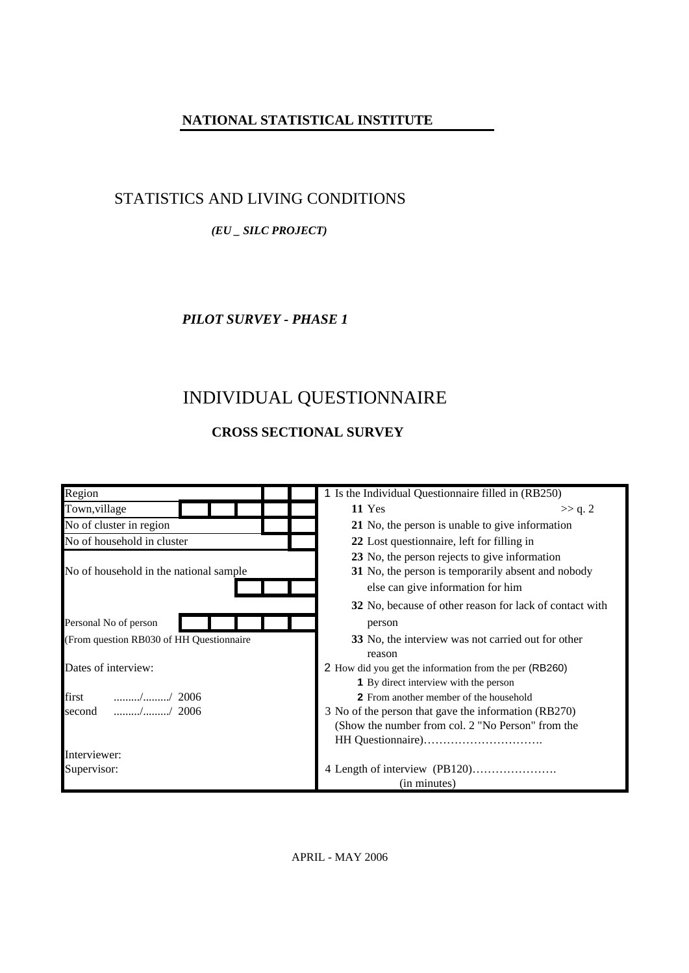## **NATIONAL STATISTICAL INSTITUTE**

## STATISTICS AND LIVING CONDITIONS

### *(EU \_ SILC PROJECT)*

### *PILOT SURVEY - PHASE 1*

# INDIVIDUAL QUESTIONNAIRE

## **CROSS SECTIONAL SURVEY**

| Region                                                                           | 1 Is the Individual Questionnaire filled in (RB250)     |
|----------------------------------------------------------------------------------|---------------------------------------------------------|
| Town, village                                                                    | 11 Yes<br>>> q. 2                                       |
| No of cluster in region                                                          | 21 No, the person is unable to give information         |
| No of household in cluster                                                       | 22 Lost questionnaire, left for filling in              |
|                                                                                  | 23 No, the person rejects to give information           |
| No of household in the national sample                                           | 31 No, the person is temporarily absent and nobody      |
|                                                                                  | else can give information for him                       |
|                                                                                  | 32 No, because of other reason for lack of contact with |
| Personal No of person                                                            | person                                                  |
| (From question RB030 of HH Questionnaire                                         | 33 No, the interview was not carried out for other      |
|                                                                                  | reason                                                  |
| Dates of interview:                                                              | 2 How did you get the information from the per (RB260)  |
|                                                                                  | <b>1</b> By direct interview with the person            |
| first<br>$\ldots \ldots \ldots \ldots \ldots \ldots \ldots \ldots \ldots$ / 2006 | <b>2</b> From another member of the household           |
| $\cdots$ / $\cdots$ 2006<br>second                                               | 3 No of the person that gave the information (RB270)    |
|                                                                                  | (Show the number from col. 2 "No Person" from the       |
|                                                                                  |                                                         |
| Interviewer:                                                                     |                                                         |
| Supervisor:                                                                      |                                                         |
|                                                                                  | (in minutes)                                            |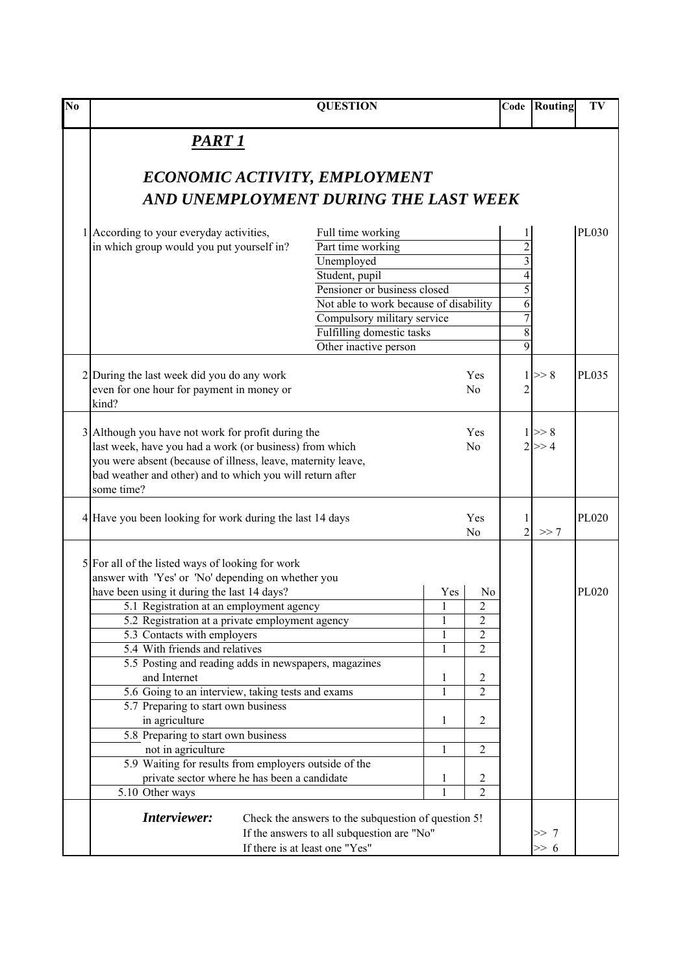| N <sub>0</sub> |                                                                                                                                                                                                                                                          | <b>QUESTION</b>                                                                                   |                                | Code                | Routing                | TV           |
|----------------|----------------------------------------------------------------------------------------------------------------------------------------------------------------------------------------------------------------------------------------------------------|---------------------------------------------------------------------------------------------------|--------------------------------|---------------------|------------------------|--------------|
|                | <u>PART 1</u>                                                                                                                                                                                                                                            |                                                                                                   |                                |                     |                        |              |
|                | ECONOMIC ACTIVITY, EMPLOYMENT                                                                                                                                                                                                                            |                                                                                                   |                                |                     |                        |              |
|                | AND UNEMPLOYMENT DURING THE LAST WEEK                                                                                                                                                                                                                    |                                                                                                   |                                |                     |                        |              |
|                | 1 According to your everyday activities,                                                                                                                                                                                                                 | Full time working                                                                                 |                                | 1                   |                        | <b>PL030</b> |
|                | in which group would you put yourself in?                                                                                                                                                                                                                | Part time working                                                                                 |                                | $rac{2}{3}$         |                        |              |
|                |                                                                                                                                                                                                                                                          | Unemployed                                                                                        |                                |                     |                        |              |
|                |                                                                                                                                                                                                                                                          | Student, pupil                                                                                    |                                | $\overline{4}$      |                        |              |
|                |                                                                                                                                                                                                                                                          | Pensioner or business closed                                                                      |                                | 5                   |                        |              |
|                |                                                                                                                                                                                                                                                          | Not able to work because of disability                                                            |                                | 6                   |                        |              |
|                |                                                                                                                                                                                                                                                          | Compulsory military service                                                                       |                                | $\overline{7}$      |                        |              |
|                |                                                                                                                                                                                                                                                          | Fulfilling domestic tasks                                                                         |                                | $\overline{8}$      |                        |              |
|                |                                                                                                                                                                                                                                                          | Other inactive person                                                                             |                                | 9                   |                        |              |
|                | 2 During the last week did you do any work<br>even for one hour for payment in money or<br>kind?                                                                                                                                                         |                                                                                                   | Yes<br>No                      | 2                   | $1 \ge 8$              | PL035        |
|                | 3 Although you have not work for profit during the<br>last week, have you had a work (or business) from which<br>you were absent (because of illness, leave, maternity leave,<br>bad weather and other) and to which you will return after<br>some time? |                                                                                                   | Yes<br>N <sub>0</sub>          |                     | $1 \ge 8$<br>$2 \ge 4$ |              |
|                | 4 Have you been looking for work during the last 14 days                                                                                                                                                                                                 |                                                                                                   | Yes<br>No                      | 1<br>$\overline{2}$ | >> 7                   | PL020        |
|                | 5 For all of the listed ways of looking for work<br>answer with 'Yes' or 'No' depending on whether you                                                                                                                                                   |                                                                                                   |                                |                     |                        |              |
|                | have been using it during the last 14 days?                                                                                                                                                                                                              |                                                                                                   | Yes<br>N <sub>0</sub>          |                     |                        | PL020        |
|                | 5.1 Registration at an employment agency                                                                                                                                                                                                                 |                                                                                                   | $\overline{c}$<br>$\,1$        |                     |                        |              |
|                | 5.2 Registration at a private employment agency                                                                                                                                                                                                          |                                                                                                   | $\overline{2}$<br>$\mathbf{1}$ |                     |                        |              |
|                | 5.3 Contacts with employers                                                                                                                                                                                                                              |                                                                                                   | 2<br>1<br>$\overline{2}$<br>1  |                     |                        |              |
|                | 5.4 With friends and relatives<br>5.5 Posting and reading adds in newspapers, magazines                                                                                                                                                                  |                                                                                                   |                                |                     |                        |              |
|                | and Internet                                                                                                                                                                                                                                             |                                                                                                   | 2<br>1                         |                     |                        |              |
|                | 5.6 Going to an interview, taking tests and exams                                                                                                                                                                                                        |                                                                                                   | $\overline{2}$<br>1            |                     |                        |              |
|                | 5.7 Preparing to start own business                                                                                                                                                                                                                      |                                                                                                   |                                |                     |                        |              |
|                | in agriculture                                                                                                                                                                                                                                           |                                                                                                   | 2<br>1                         |                     |                        |              |
|                | 5.8 Preparing to start own business                                                                                                                                                                                                                      |                                                                                                   |                                |                     |                        |              |
|                | not in agriculture                                                                                                                                                                                                                                       |                                                                                                   | 2<br>1                         |                     |                        |              |
|                | 5.9 Waiting for results from employers outside of the                                                                                                                                                                                                    |                                                                                                   |                                |                     |                        |              |
|                | private sector where he has been a candidate                                                                                                                                                                                                             |                                                                                                   | 2<br>1                         |                     |                        |              |
|                | 5.10 Other ways                                                                                                                                                                                                                                          |                                                                                                   | $\overline{2}$<br>1            |                     |                        |              |
|                | Interviewer:                                                                                                                                                                                                                                             | Check the answers to the subquestion of question 5!<br>If the answers to all subquestion are "No" |                                |                     | >> 7                   |              |
|                |                                                                                                                                                                                                                                                          | If there is at least one "Yes"                                                                    |                                |                     | >> 6                   |              |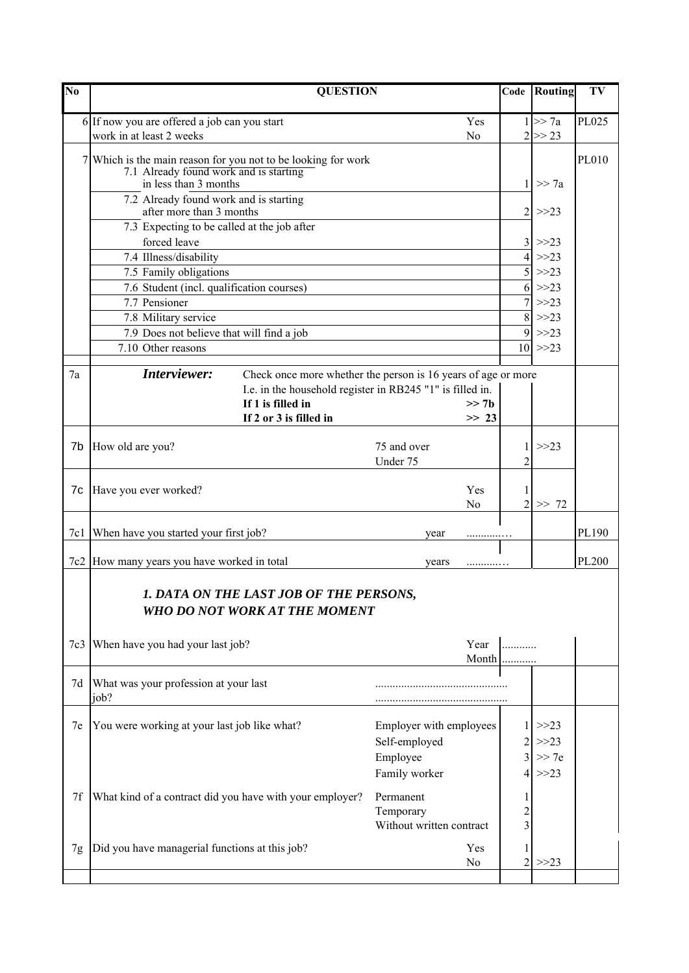| $\overline{\text{No}}$ | <b>QUESTION</b>                                                                        |                          |                |                | Code Routing   | TV    |
|------------------------|----------------------------------------------------------------------------------------|--------------------------|----------------|----------------|----------------|-------|
|                        | 6 If now you are offered a job can you start                                           |                          | Yes            |                | 1 >> 7a        | PL025 |
|                        | work in at least 2 weeks                                                               |                          | No             |                | $2 \ge 23$     |       |
|                        | 7 Which is the main reason for you not to be looking for work                          |                          |                |                |                | PL010 |
|                        | 7.1 Already found work and is starting                                                 |                          |                |                |                |       |
|                        | in less than 3 months                                                                  |                          |                | 1              | $\gg$ 7a       |       |
|                        | 7.2 Already found work and is starting                                                 |                          |                |                |                |       |
|                        | after more than 3 months                                                               |                          |                | $\overline{2}$ | >>23           |       |
|                        | 7.3 Expecting to be called at the job after                                            |                          |                |                |                |       |
|                        | forced leave                                                                           |                          |                | $\overline{4}$ | >>23           |       |
|                        | 7.4 Illness/disability                                                                 |                          |                | 5              | >>23<br>$>>23$ |       |
|                        | 7.5 Family obligations<br>7.6 Student (incl. qualification courses)                    |                          |                | 6              | $>>23$         |       |
|                        | 7.7 Pensioner                                                                          |                          |                | $\overline{7}$ | $>>23$         |       |
|                        | 7.8 Military service                                                                   |                          |                | 8              | $>>23$         |       |
|                        | 7.9 Does not believe that will find a job                                              |                          |                | 9              | $>>23$         |       |
|                        | 7.10 Other reasons                                                                     |                          |                |                | $10 \gg 23$    |       |
|                        |                                                                                        |                          |                |                |                |       |
| 7a                     | Interviewer:<br>Check once more whether the person is 16 years of age or more          |                          |                |                |                |       |
|                        | I.e. in the household register in RB245 "1" is filled in.                              |                          |                |                |                |       |
|                        | If 1 is filled in                                                                      |                          | >> 7h          |                |                |       |
|                        | If 2 or 3 is filled in                                                                 |                          | >> 23          |                |                |       |
|                        |                                                                                        |                          |                |                |                |       |
| 7b                     | How old are you?                                                                       | 75 and over              |                |                | $>>23$         |       |
|                        |                                                                                        | Under 75                 |                | $\overline{2}$ |                |       |
| 7c                     | Have you ever worked?                                                                  |                          | Yes            |                |                |       |
|                        |                                                                                        |                          | No             | $\overline{2}$ | >> 72          |       |
|                        |                                                                                        |                          |                |                |                |       |
| 7c1                    | When have you started your first job?                                                  | year                     | .              |                |                | PL190 |
|                        |                                                                                        |                          |                |                |                |       |
| 7c2                    | How many years you have worked in total                                                | years                    |                |                |                | PL200 |
|                        | <b>1. DATA ON THE LAST JOB OF THE PERSONS,</b><br><b>WHO DO NOT WORK AT THE MOMENT</b> |                          |                |                |                |       |
| 7c3                    | When have you had your last job?                                                       |                          | Year           |                |                |       |
|                        |                                                                                        |                          | Month          |                |                |       |
|                        |                                                                                        |                          |                |                |                |       |
| 7d                     | What was your profession at your last                                                  |                          |                |                |                |       |
|                        | job?                                                                                   |                          |                |                |                |       |
| 7e                     | You were working at your last job like what?                                           | Employer with employees  |                |                | >>23           |       |
|                        |                                                                                        | Self-employed            |                |                | $>>23$         |       |
|                        |                                                                                        | Employee                 |                |                | >> 7e          |       |
|                        |                                                                                        | Family worker            |                |                | $>>23$         |       |
|                        |                                                                                        |                          |                |                |                |       |
| 7f                     | What kind of a contract did you have with your employer?                               | Permanent                |                |                |                |       |
|                        |                                                                                        | Temporary                |                |                |                |       |
|                        |                                                                                        | Without written contract |                |                |                |       |
| 7g                     | Did you have managerial functions at this job?                                         |                          | Yes            |                |                |       |
|                        |                                                                                        |                          | N <sub>0</sub> | 2              | >>23           |       |
|                        |                                                                                        |                          |                |                |                |       |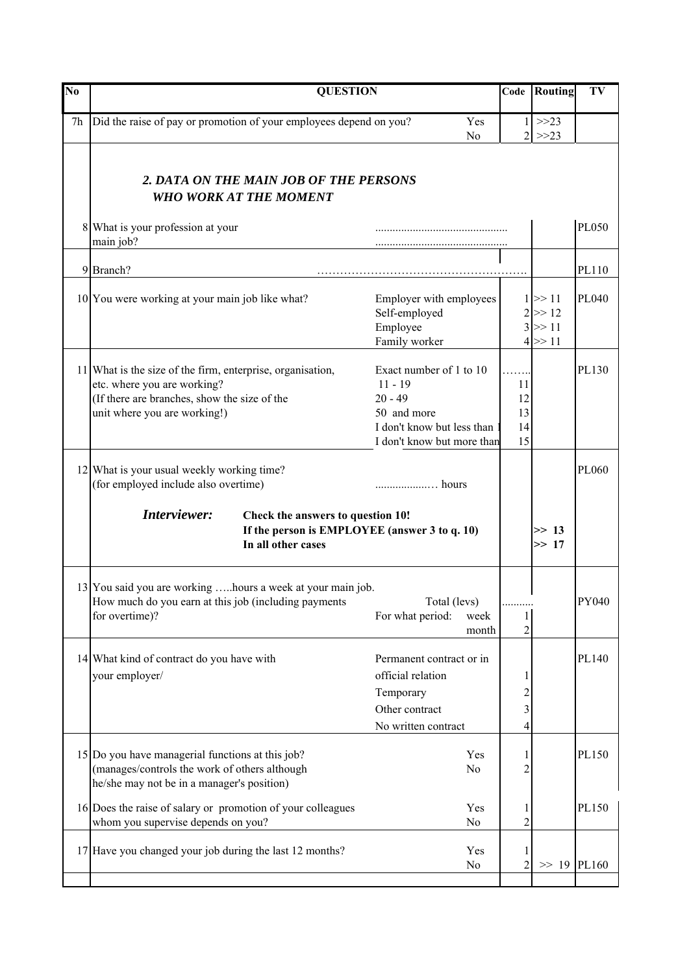| N <sub>0</sub> | <b>QUESTION</b>                                                                                                                                                           |                                                                                                                              | Code                                   | Routing                                          | TV           |
|----------------|---------------------------------------------------------------------------------------------------------------------------------------------------------------------------|------------------------------------------------------------------------------------------------------------------------------|----------------------------------------|--------------------------------------------------|--------------|
| 7h             | Did the raise of pay or promotion of your employees depend on you?                                                                                                        | Yes<br>N <sub>0</sub>                                                                                                        | 2 <sub>1</sub>                         | $1 \rightarrow 23$<br>$>>23$                     |              |
|                | 2. DATA ON THE MAIN JOB OF THE PERSONS<br><b>WHO WORK AT THE MOMENT</b>                                                                                                   |                                                                                                                              |                                        |                                                  |              |
|                | 8 What is your profession at your<br>main job?                                                                                                                            |                                                                                                                              |                                        |                                                  | <b>PL050</b> |
|                | 9 Branch?                                                                                                                                                                 |                                                                                                                              |                                        |                                                  | PL110        |
|                | 10 You were working at your main job like what?                                                                                                                           | Employer with employees<br>Self-employed<br>Employee<br>Family worker                                                        |                                        | $1 \gg 11$<br>$2 \ge 12$<br>$3 \gg 11$<br>4 > 11 | PL040        |
|                | 11 What is the size of the firm, enterprise, organisation,<br>etc. where you are working?<br>(If there are branches, show the size of the<br>unit where you are working!) | Exact number of 1 to 10<br>$11 - 19$<br>$20 - 49$<br>50 and more<br>I don't know but less than<br>I don't know but more than | $\ldots$<br>11<br>12<br>13<br>14<br>15 |                                                  | PL130        |
|                | 12 What is your usual weekly working time?<br>(for employed include also overtime)                                                                                        |                                                                                                                              |                                        |                                                  | PL060        |
|                | Interviewer:<br>Check the answers to question 10!<br>If the person is EMPLOYEE (answer 3 to q. 10)<br>In all other cases                                                  |                                                                                                                              |                                        | $\gg$ 13<br>>> 17                                |              |
|                | 13 You said you are working  hours a week at your main job.<br>How much do you earn at this job (including payments<br>for overtime)?                                     | Total (levs)<br>For what period:<br>week<br>month                                                                            | .<br>2                                 |                                                  | PY040        |
|                | 14 What kind of contract do you have with<br>your employer/                                                                                                               | Permanent contract or in<br>official relation<br>Temporary<br>Other contract<br>No written contract                          | 1<br>$\overline{\mathbf{c}}$<br>3<br>4 |                                                  | PL140        |
|                | 15 Do you have managerial functions at this job?<br>(manages/controls the work of others although<br>he/she may not be in a manager's position)                           | Yes<br>No                                                                                                                    | 1<br>$\overline{2}$                    |                                                  | PL150        |
|                | 16 Does the raise of salary or promotion of your colleagues<br>whom you supervise depends on you?                                                                         | Yes<br>No                                                                                                                    | 2                                      |                                                  | PL150        |
|                | 17 Have you changed your job during the last 12 months?                                                                                                                   | Yes<br>No                                                                                                                    | 1<br>2                                 | $>> 19$ PL160                                    |              |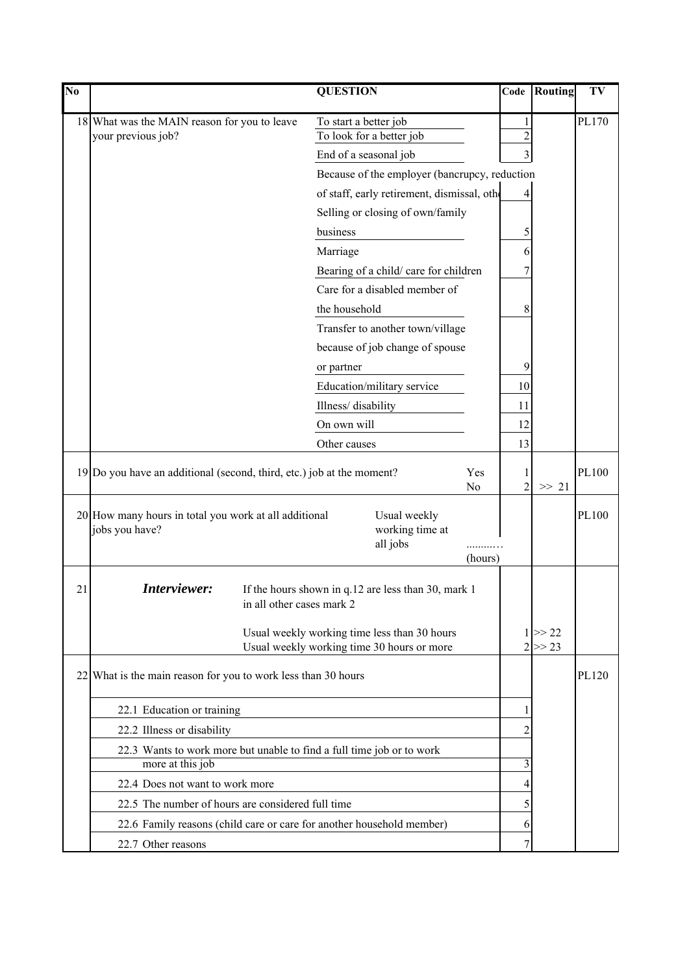| $\overline{\text{No}}$ |                                                                         |                           | <b>QUESTION</b>                                                       |                       | Code                | Routing    | TV    |
|------------------------|-------------------------------------------------------------------------|---------------------------|-----------------------------------------------------------------------|-----------------------|---------------------|------------|-------|
|                        | 18 What was the MAIN reason for you to leave                            |                           | To start a better job                                                 |                       | 1                   |            | PL170 |
|                        | your previous job?                                                      |                           | To look for a better job                                              |                       | $\overline{c}$      |            |       |
|                        |                                                                         |                           | End of a seasonal job                                                 |                       | 3                   |            |       |
|                        |                                                                         |                           | Because of the employer (bancrupcy, reduction                         |                       |                     |            |       |
|                        |                                                                         |                           | of staff, early retirement, dismissal, other                          |                       | 4                   |            |       |
|                        |                                                                         |                           | Selling or closing of own/family                                      |                       |                     |            |       |
|                        |                                                                         |                           | business                                                              |                       | 5                   |            |       |
|                        |                                                                         |                           | Marriage                                                              |                       | 6                   |            |       |
|                        |                                                                         |                           | Bearing of a child/care for children                                  |                       |                     |            |       |
|                        |                                                                         |                           | Care for a disabled member of                                         |                       |                     |            |       |
|                        |                                                                         |                           | the household                                                         |                       | 8                   |            |       |
|                        |                                                                         |                           | Transfer to another town/village                                      |                       |                     |            |       |
|                        |                                                                         |                           | because of job change of spouse                                       |                       |                     |            |       |
|                        |                                                                         |                           | or partner                                                            |                       | 9                   |            |       |
|                        |                                                                         |                           | Education/military service                                            |                       | 10                  |            |       |
|                        |                                                                         |                           | Illness/disability                                                    |                       | 11                  |            |       |
|                        |                                                                         |                           | On own will                                                           |                       | 12                  |            |       |
|                        |                                                                         |                           | Other causes                                                          |                       | 13                  |            |       |
|                        | 19 Do you have an additional (second, third, etc.) job at the moment?   |                           |                                                                       | Yes<br>N <sub>0</sub> | 1<br>$\overline{2}$ | $\gg$ 21   | PL100 |
|                        | 20 How many hours in total you work at all additional<br>jobs you have? |                           | Usual weekly<br>working time at<br>all jobs                           |                       |                     |            | PL100 |
|                        |                                                                         |                           |                                                                       | (hours)               |                     |            |       |
| 21                     | Interviewer:                                                            | in all other cases mark 2 | If the hours shown in q.12 are less than 30, mark 1                   |                       |                     |            |       |
|                        |                                                                         |                           | Usual weekly working time less than 30 hours                          |                       |                     | $1 \ge 22$ |       |
|                        |                                                                         |                           | Usual weekly working time 30 hours or more                            |                       |                     | $2 \ge 23$ |       |
|                        | $22$ What is the main reason for you to work less than 30 hours         |                           |                                                                       |                       |                     |            | PL120 |
|                        | 22.1 Education or training                                              |                           |                                                                       |                       | 1                   |            |       |
|                        | 22.2 Illness or disability                                              |                           |                                                                       |                       | 2                   |            |       |
|                        |                                                                         |                           | 22.3 Wants to work more but unable to find a full time job or to work |                       |                     |            |       |
|                        | more at this job                                                        |                           |                                                                       |                       | 3                   |            |       |
|                        | 22.4 Does not want to work more                                         |                           |                                                                       |                       | 4                   |            |       |
|                        | 22.5 The number of hours are considered full time                       |                           |                                                                       |                       | 5                   |            |       |
|                        |                                                                         |                           | 22.6 Family reasons (child care or care for another household member) |                       | 6                   |            |       |
|                        | 22.7 Other reasons                                                      |                           |                                                                       |                       | 7                   |            |       |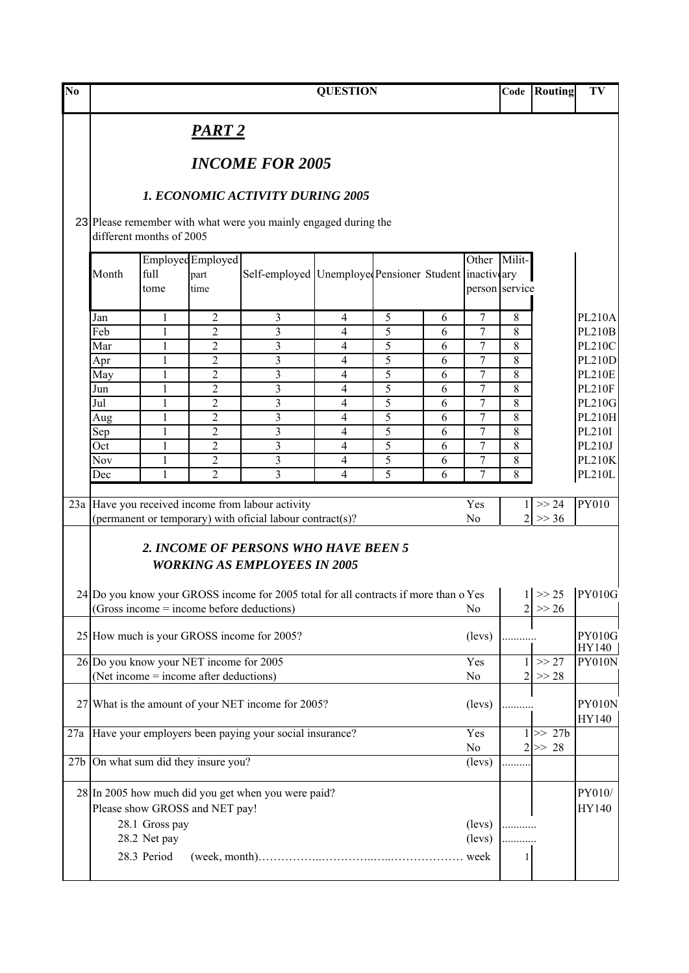| $\overline{\text{No}}$ |            |                             |                                                                                   |                                                                                                                                                                                               | <b>QUESTION</b> |                |        |                                             | Code           | Routing                   | TV                     |
|------------------------|------------|-----------------------------|-----------------------------------------------------------------------------------|-----------------------------------------------------------------------------------------------------------------------------------------------------------------------------------------------|-----------------|----------------|--------|---------------------------------------------|----------------|---------------------------|------------------------|
|                        |            |                             | PART 2                                                                            |                                                                                                                                                                                               |                 |                |        |                                             |                |                           |                        |
|                        |            |                             |                                                                                   | <b>INCOME FOR 2005</b>                                                                                                                                                                        |                 |                |        |                                             |                |                           |                        |
|                        |            |                             |                                                                                   | <b>1. ECONOMIC ACTIVITY DURING 2005</b>                                                                                                                                                       |                 |                |        |                                             |                |                           |                        |
|                        |            | different months of 2005    |                                                                                   | 23 Please remember with what were you mainly engaged during the                                                                                                                               |                 |                |        |                                             |                |                           |                        |
|                        | Month      | full<br>tome                | Employed Employed<br>part<br>time                                                 | Self-employed Unemployed Pensioner Student inactivary                                                                                                                                         |                 |                |        | $\overline{\text{Other}}$<br>person service | Milit-         |                           |                        |
|                        | Jan        | 1                           | 2                                                                                 | 3                                                                                                                                                                                             | 4               | $\overline{5}$ | 6      | 7                                           | 8              |                           | <b>PL210A</b>          |
|                        | Feb        | $\mathbf{1}$                | $\overline{2}$                                                                    | 3                                                                                                                                                                                             | $\overline{4}$  | 5              | 6      | $\overline{7}$                              | 8              |                           | <b>PL210B</b>          |
|                        | Mar        | 1                           | $\overline{c}$                                                                    | 3                                                                                                                                                                                             | 4               | 5              | 6      | 7                                           | 8              |                           | <b>PL210C</b>          |
|                        | Apr        | 1                           | $\overline{c}$                                                                    | 3                                                                                                                                                                                             | 4               | 5              | 6      | 7                                           | 8              |                           | <b>PL210D</b>          |
|                        | May        | 1                           | $\overline{2}$                                                                    | 3                                                                                                                                                                                             | 4               | 5              | 6      | $\overline{7}$                              | 8              |                           | <b>PL210E</b>          |
|                        | Jun        |                             | $\overline{2}$                                                                    | 3                                                                                                                                                                                             | 4               | 5              | 6      | 7                                           | 8              |                           | <b>PL210F</b>          |
|                        | Jul        | 1                           | $\overline{2}$                                                                    | 3                                                                                                                                                                                             | 4               | 5<br>5         | 6      | 7                                           | 8              |                           | <b>PL210G</b>          |
|                        | Aug<br>Sep | 1<br>1                      | 2<br>2                                                                            | 3<br>3                                                                                                                                                                                        | 4<br>4          | 5              | 6<br>6 | 7<br>7                                      | 8<br>8         |                           | PL210H<br>PL210I       |
|                        | Oct        | $\mathbf{1}$                | $\overline{2}$                                                                    | 3                                                                                                                                                                                             | $\overline{4}$  | 5              | 6      | $\overline{7}$                              | 8              |                           | PL210J                 |
|                        | Nov        | 1                           | 2                                                                                 | 3                                                                                                                                                                                             | 4               | 5              | 6      | 7                                           | 8              |                           | <b>PL210K</b>          |
|                        | Dec        | $\mathbf{1}$                | $\overline{2}$                                                                    | 3                                                                                                                                                                                             | 4               | 5              | 6      | 7                                           | 8              |                           | PL210L                 |
|                        |            |                             |                                                                                   | 23a Have you received income from labour activity<br>(permanent or temporary) with oficial labour contract(s)?<br>2. INCOME OF PERSONS WHO HAVE BEEN 5<br><b>WORKING AS EMPLOYEES IN 2005</b> |                 |                |        | Yes<br>No                                   |                | >> 24<br>$2 \gg 36$       | <b>PY010</b>           |
|                        |            |                             |                                                                                   | 24 Do you know your GROSS income for 2005 total for all contracts if more than o Yes $  \t1  >> 25$ PY010G<br>$(Gross income = income before deductions)$                                     |                 |                |        | No                                          |                | $2 \ge 26$                |                        |
|                        |            |                             |                                                                                   | 25 How much is your GROSS income for 2005?                                                                                                                                                    |                 |                |        | (levs)                                      |                |                           | <b>PY010G</b><br>HY140 |
|                        |            |                             | 26 Do you know your NET income for 2005<br>(Net income = income after deductions) |                                                                                                                                                                                               |                 |                |        | Yes<br>No                                   | 2 <sup>1</sup> | >> 27<br>>> 28            | PY010N                 |
|                        |            |                             |                                                                                   | 27 What is the amount of your NET income for 2005?                                                                                                                                            |                 |                |        | (levs)                                      |                |                           | PY010N<br>HY140        |
| 27a                    |            |                             |                                                                                   | Have your employers been paying your social insurance?                                                                                                                                        |                 |                |        | Yes<br>N <sub>0</sub>                       |                | $1 \gg 27b$<br>$2 \gg 28$ |                        |
| 27 <sub>b</sub>        |            |                             | On what sum did they insure you?                                                  |                                                                                                                                                                                               |                 |                |        | (levs)                                      |                |                           |                        |
|                        |            | 28.1 Gross pay              | Please show GROSS and NET pay!                                                    | 28 In 2005 how much did you get when you were paid?                                                                                                                                           |                 |                |        | (levs)                                      |                |                           | PY010/<br>HY140        |
|                        |            | 28.2 Net pay<br>28.3 Period |                                                                                   |                                                                                                                                                                                               |                 |                |        | (levs)                                      | 1              |                           |                        |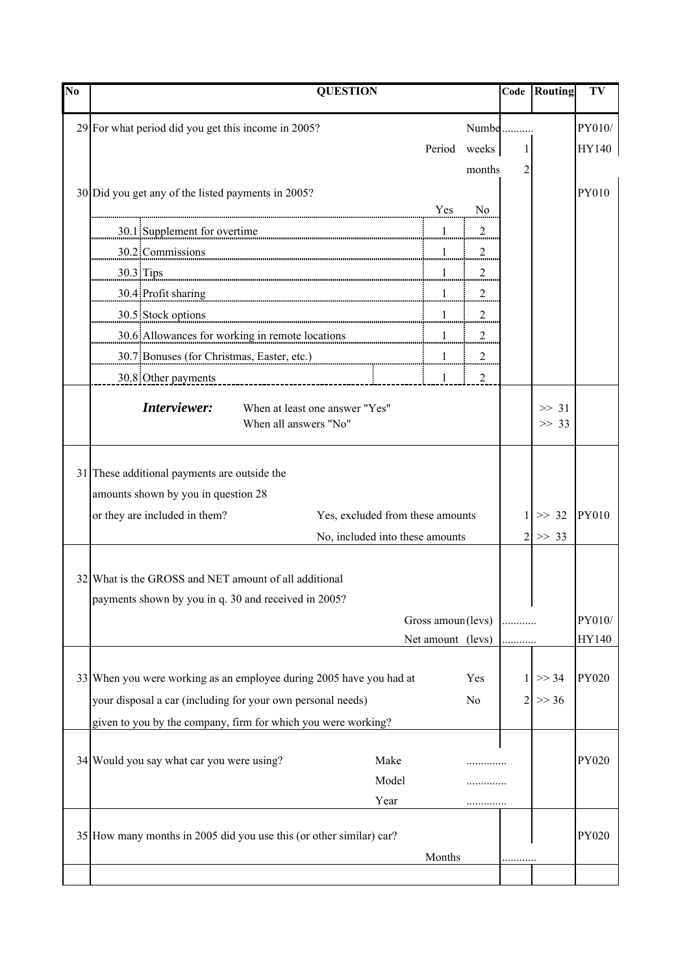| N <sub>0</sub> | <b>QUESTION</b>                                                                                                                                                                                                                |                    |        |                     | <b>Code</b> Routing | TV           |
|----------------|--------------------------------------------------------------------------------------------------------------------------------------------------------------------------------------------------------------------------------|--------------------|--------|---------------------|---------------------|--------------|
|                | 29 For what period did you get this income in 2005?                                                                                                                                                                            |                    | Numbe  |                     |                     | PY010/       |
|                |                                                                                                                                                                                                                                | Period             | weeks  |                     |                     | HY140        |
|                |                                                                                                                                                                                                                                |                    |        | 1<br>$\overline{2}$ |                     |              |
|                |                                                                                                                                                                                                                                |                    | months |                     |                     |              |
|                | 30 Did you get any of the listed payments in 2005?                                                                                                                                                                             | Yes                | No     |                     |                     | PY010        |
|                |                                                                                                                                                                                                                                |                    |        |                     |                     |              |
|                | 30.1 Supplement for overtime <b>Example 20.1</b> 1 1 2 2 2                                                                                                                                                                     |                    |        |                     |                     |              |
|                | 30.2:Commissions 20.2:Commissions 20.2:Commissions 20.2:Commissions 20.2:Commissions 20.2:Commissions 20.2:Commissions 20.2:Commissions 20.2:Commissions 20.2:Commissions 20.2:Commissions 20.2:Commissions 20.2:Commissions 2 |                    |        |                     |                     |              |
|                |                                                                                                                                                                                                                                |                    |        |                     |                     |              |
|                | 30.4 Profit sharing 1 1 metambra 2014 1 metambra 2014 1 metambra 2014 1 metambra 2014 1 metambra 2014 1 metamb                                                                                                                 |                    |        |                     |                     |              |
|                | 30.5 Stock options 2008 30.5 Stock and 2008 100 million contract and continuum contract and continuum continuum continuum contract and continuum continuum continuum continuum continuum continuum continuum continuum continu |                    |        |                     |                     |              |
|                | 30.6 Allowances for working in remote locations 1 1                                                                                                                                                                            |                    |        |                     |                     |              |
|                | $30.7$ Bonuses (for Christmas, Easter, etc.)                                                                                                                                                                                   |                    |        |                     |                     |              |
|                |                                                                                                                                                                                                                                |                    |        |                     |                     |              |
|                | Interviewer:<br>When at least one answer "Yes"                                                                                                                                                                                 |                    |        |                     | $\gg$ 31            |              |
|                | When all answers "No"                                                                                                                                                                                                          |                    |        |                     | >> 33               |              |
|                |                                                                                                                                                                                                                                |                    |        |                     |                     |              |
|                | 31 These additional payments are outside the                                                                                                                                                                                   |                    |        |                     |                     |              |
|                | amounts shown by you in question 28                                                                                                                                                                                            |                    |        |                     |                     |              |
|                | or they are included in them?<br>Yes, excluded from these amounts                                                                                                                                                              |                    |        |                     | $\gg$ 32            | <b>PY010</b> |
|                | No, included into these amounts                                                                                                                                                                                                |                    |        |                     | >> 33               |              |
|                |                                                                                                                                                                                                                                |                    |        |                     |                     |              |
|                | 32 What is the GROSS and NET amount of all additional                                                                                                                                                                          |                    |        |                     |                     |              |
|                | payments shown by you in q. 30 and received in 2005?                                                                                                                                                                           |                    |        |                     |                     |              |
|                |                                                                                                                                                                                                                                | Gross amoun (levs) |        |                     |                     | PY010/       |
|                |                                                                                                                                                                                                                                | Net amount (levs)  |        |                     |                     | HY140        |
|                |                                                                                                                                                                                                                                |                    |        |                     |                     |              |
|                | 33 When you were working as an employee during 2005 have you had at                                                                                                                                                            |                    | Yes    |                     | >> 34               | <b>PY020</b> |
|                | your disposal a car (including for your own personal needs)                                                                                                                                                                    |                    | No     |                     | >> 36               |              |
|                | given to you by the company, firm for which you were working?                                                                                                                                                                  |                    |        |                     |                     |              |
|                |                                                                                                                                                                                                                                |                    |        |                     |                     |              |
|                | 34 Would you say what car you were using?<br>Make                                                                                                                                                                              |                    |        |                     |                     | <b>PY020</b> |
|                | Model                                                                                                                                                                                                                          |                    |        |                     |                     |              |
|                | Year                                                                                                                                                                                                                           |                    |        |                     |                     |              |
|                | 35 How many months in 2005 did you use this (or other similar) car?                                                                                                                                                            |                    |        |                     |                     | PY020        |
|                |                                                                                                                                                                                                                                | Months             |        |                     |                     |              |
|                |                                                                                                                                                                                                                                |                    |        |                     |                     |              |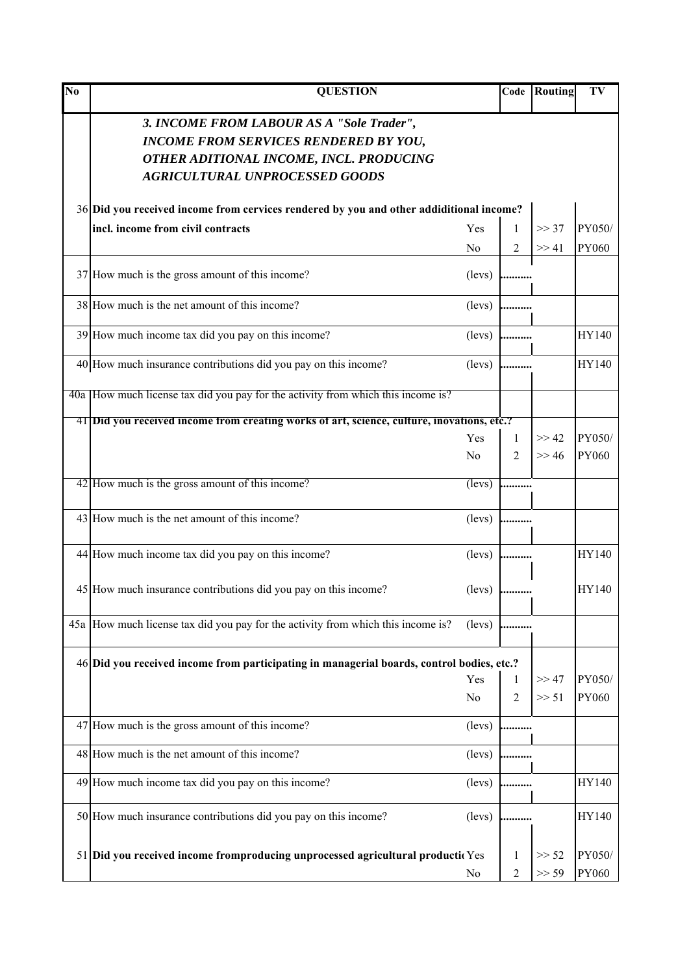| N <sub>o</sub> | <b>QUESTION</b>                                                                                                                                                               |                 | Code         | Routing | TV     |
|----------------|-------------------------------------------------------------------------------------------------------------------------------------------------------------------------------|-----------------|--------------|---------|--------|
|                | 3. INCOME FROM LABOUR AS A "Sole Trader",<br><b>INCOME FROM SERVICES RENDERED BY YOU,</b><br>OTHER ADITIONAL INCOME, INCL. PRODUCING<br><b>AGRICULTURAL UNPROCESSED GOODS</b> |                 |              |         |        |
|                | 36 Did you received income from cervices rendered by you and other addiditional income?                                                                                       |                 |              |         |        |
|                | incl. income from civil contracts                                                                                                                                             | Yes             | $\mathbf{1}$ | >> 37   | PY050/ |
|                |                                                                                                                                                                               | No              | 2            | >> 41   | PY060  |
|                | 37 How much is the gross amount of this income?                                                                                                                               | (levs)          | .            |         |        |
|                | 38 How much is the net amount of this income?                                                                                                                                 | (levs)          |              |         |        |
|                | 39 How much income tax did you pay on this income?                                                                                                                            | (levs)          |              |         | HY140  |
|                | 40 How much insurance contributions did you pay on this income?                                                                                                               | (levs)          |              |         | HY140  |
|                | 40a How much license tax did you pay for the activity from which this income is?                                                                                              |                 |              |         |        |
|                | 41 Did you received income from creating works of art, science, culture, inovations, etc.?                                                                                    |                 |              |         |        |
|                |                                                                                                                                                                               | Yes             | $\mathbf{1}$ | >> 42   | PY050/ |
|                |                                                                                                                                                                               | No              | 2            | >> 46   | PY060  |
|                | 42 How much is the gross amount of this income?                                                                                                                               | (levs)          |              |         |        |
|                | 43 How much is the net amount of this income?                                                                                                                                 | (levs)          |              |         |        |
|                | 44 How much income tax did you pay on this income?                                                                                                                            | (levs)          |              |         | HY140  |
|                | 45 How much insurance contributions did you pay on this income?                                                                                                               | (levs)          |              |         | HY140  |
|                | 45a How much license tax did you pay for the activity from which this income is?                                                                                              | $(\text{leys})$ |              |         |        |
|                | 46 Did you received income from participating in managerial boards, control bodies, etc.?                                                                                     |                 |              |         |        |
|                |                                                                                                                                                                               | Yes             | 1            | >> 47   | PY050/ |
|                |                                                                                                                                                                               | N <sub>o</sub>  | 2            | >> 51   | PY060  |
|                | 47 How much is the gross amount of this income?                                                                                                                               | (levs)          |              |         |        |
|                | 48 How much is the net amount of this income?                                                                                                                                 | (levs)          |              |         |        |
|                | 49 How much income tax did you pay on this income?                                                                                                                            | (levs)          |              |         | HY140  |
|                | 50 How much insurance contributions did you pay on this income?                                                                                                               | (levs)          |              |         | HY140  |
|                | 51 Did you received income fromproducing unprocessed agricultural production                                                                                                  |                 | 1            | >> 52   | PY050/ |
|                |                                                                                                                                                                               | No              | 2            | >> 59   | PY060  |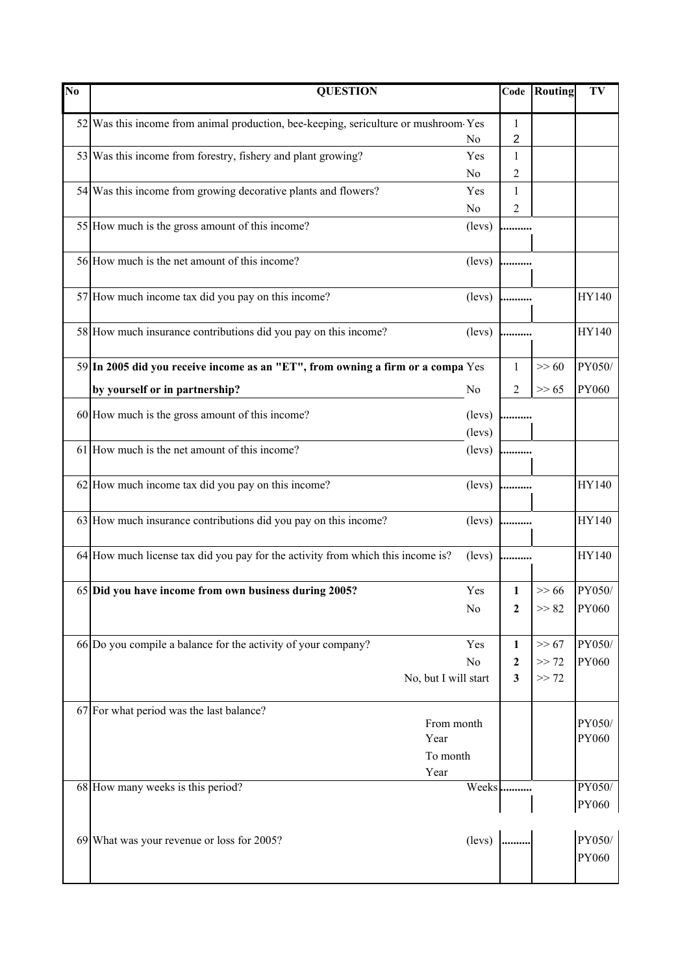| $\overline{\text{No}}$ | <b>QUESTION</b>                                                                     |                  | Code             | <b>Routing</b> | TV           |
|------------------------|-------------------------------------------------------------------------------------|------------------|------------------|----------------|--------------|
|                        | 52 Was this income from animal production, bee-keeping, sericulture or mushroom Yes |                  | 1                |                |              |
|                        |                                                                                     | No               | $\overline{2}$   |                |              |
|                        | 53 Was this income from forestry, fishery and plant growing?                        | Yes              | 1                |                |              |
|                        |                                                                                     | N <sub>0</sub>   | 2                |                |              |
|                        | 54 Was this income from growing decorative plants and flowers?                      | Yes              | 1                |                |              |
|                        |                                                                                     | No               | 2                |                |              |
|                        | 55 How much is the gross amount of this income?                                     | (levs)           |                  |                |              |
|                        | 56 How much is the net amount of this income?                                       | (levs)           |                  |                |              |
|                        | 57 How much income tax did you pay on this income?                                  | (levs)           |                  |                | HY140        |
|                        | 58 How much insurance contributions did you pay on this income?                     | (levs)           |                  |                | HY140        |
|                        | 59 In 2005 did you receive income as an "ET", from owning a firm or a compa Yes     |                  | 1                | $>> 60$        | PY050/       |
|                        | by yourself or in partnership?                                                      | N <sub>0</sub>   | 2                | >> 65          | PY060        |
|                        |                                                                                     |                  |                  |                |              |
|                        | 60 How much is the gross amount of this income?                                     | (levs)<br>(levs) |                  |                |              |
|                        | 61 How much is the net amount of this income?                                       | (levs)           |                  |                |              |
|                        |                                                                                     |                  |                  |                |              |
|                        | 62 How much income tax did you pay on this income?                                  | (levs)           |                  |                | HY140        |
|                        | 63 How much insurance contributions did you pay on this income?                     | (levs)           |                  |                | HY140        |
|                        | 64 How much license tax did you pay for the activity from which this income is?     | (levs)           |                  |                | <b>HY140</b> |
|                        | 65 Did you have income from own business during 2005?                               | Yes              | $\mathbf{1}$     | $>> 66$        | PY050/       |
|                        |                                                                                     | No               | $\boldsymbol{2}$ | >> 82          | <b>PY060</b> |
|                        |                                                                                     |                  |                  |                |              |
|                        | 66 Do you compile a balance for the activity of your company?                       | Yes              | 1                | >> 67          | PY050/       |
|                        |                                                                                     | No               | $\boldsymbol{2}$ | >> 72          | PY060        |
|                        | No, but I will start                                                                |                  | 3                | >> 72          |              |
|                        |                                                                                     |                  |                  |                |              |
|                        | 67 For what period was the last balance?<br>From month                              |                  |                  |                | PY050/       |
|                        | Year                                                                                |                  |                  |                | PY060        |
|                        | To month                                                                            |                  |                  |                |              |
|                        | Year                                                                                |                  |                  |                |              |
|                        | 68 How many weeks is this period?                                                   | Weeks            |                  |                | PY050/       |
|                        |                                                                                     |                  |                  |                | PY060        |
|                        |                                                                                     |                  |                  |                | PY050/       |
|                        | 69 What was your revenue or loss for 2005?                                          | (levs)           |                  |                | PY060        |
|                        |                                                                                     |                  |                  |                |              |
|                        |                                                                                     |                  |                  |                |              |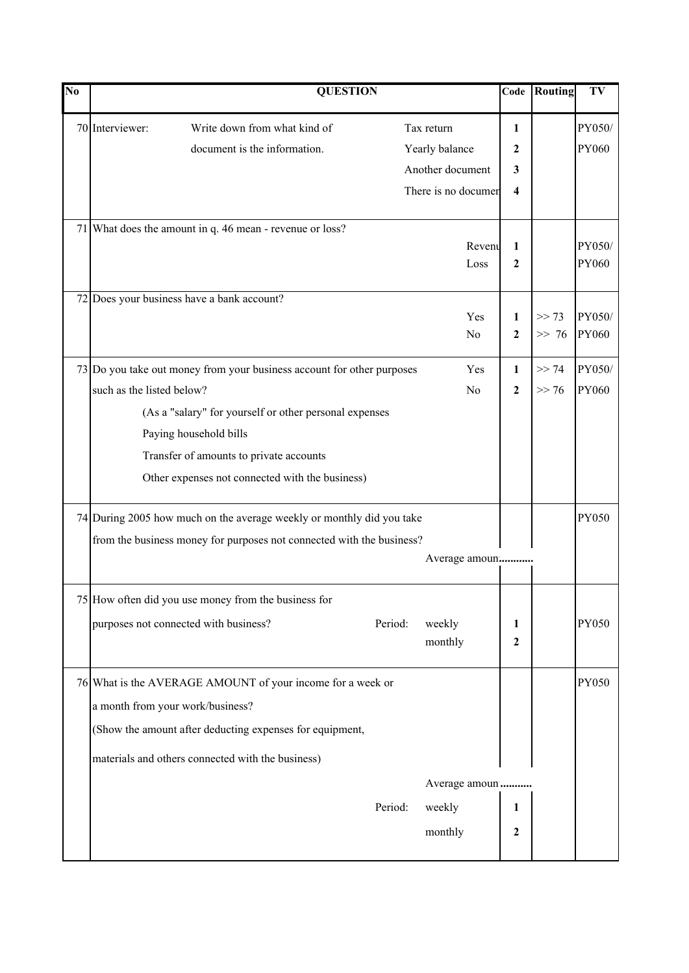| No |                                                                       | <b>QUESTION</b>                                                        |         |                     | Code                    | Routing | TV           |
|----|-----------------------------------------------------------------------|------------------------------------------------------------------------|---------|---------------------|-------------------------|---------|--------------|
|    | 70 Interviewer:                                                       | Write down from what kind of                                           |         | Tax return          | 1                       |         | PY050/       |
|    |                                                                       | document is the information.                                           |         | Yearly balance      | 2                       |         | PY060        |
|    |                                                                       |                                                                        |         | Another document    | 3                       |         |              |
|    |                                                                       |                                                                        |         | There is no documer | $\overline{\mathbf{4}}$ |         |              |
|    |                                                                       | 71 What does the amount in q. 46 mean - revenue or loss?               |         |                     |                         |         |              |
|    |                                                                       |                                                                        |         | Revent              | 1                       |         | PY050/       |
|    |                                                                       |                                                                        |         | Loss                | 2                       |         | PY060        |
|    |                                                                       | 72 Does your business have a bank account?                             |         |                     |                         |         |              |
|    |                                                                       |                                                                        |         | Yes                 | 1                       | >> 73   | PY050/       |
|    |                                                                       |                                                                        |         | No                  | $\mathbf{2}$            | $>> 76$ | PY060        |
|    |                                                                       | 73 Do you take out money from your business account for other purposes |         | Yes                 | $\mathbf{1}$            | >> 74   | PY050/       |
|    | such as the listed below?                                             |                                                                        |         | No                  | $\boldsymbol{2}$        | >> 76   | <b>PY060</b> |
|    |                                                                       | (As a "salary" for yourself or other personal expenses                 |         |                     |                         |         |              |
|    |                                                                       | Paying household bills                                                 |         |                     |                         |         |              |
|    |                                                                       | Transfer of amounts to private accounts                                |         |                     |                         |         |              |
|    |                                                                       | Other expenses not connected with the business)                        |         |                     |                         |         |              |
|    | 74 During 2005 how much on the average weekly or monthly did you take |                                                                        |         |                     | <b>PY050</b>            |         |              |
|    |                                                                       | from the business money for purposes not connected with the business?  |         |                     |                         |         |              |
|    |                                                                       |                                                                        |         | Average amoun       |                         |         |              |
|    |                                                                       | 75 How often did you use money from the business for                   |         |                     |                         |         |              |
|    |                                                                       | purposes not connected with business?                                  | Period: | weekly              | 1                       |         | <b>PY050</b> |
|    |                                                                       |                                                                        |         | monthly             | $\overline{2}$          |         |              |
|    |                                                                       | 76 What is the AVERAGE AMOUNT of your income for a week or             |         |                     |                         |         | <b>PY050</b> |
|    |                                                                       | a month from your work/business?                                       |         |                     |                         |         |              |
|    |                                                                       | (Show the amount after deducting expenses for equipment,               |         |                     |                         |         |              |
|    |                                                                       | materials and others connected with the business)                      |         |                     |                         |         |              |
|    |                                                                       |                                                                        |         | Average amoun       |                         |         |              |
|    |                                                                       |                                                                        | Period: | weekly              | 1                       |         |              |
|    |                                                                       |                                                                        |         | monthly             | $\boldsymbol{2}$        |         |              |
|    |                                                                       |                                                                        |         |                     |                         |         |              |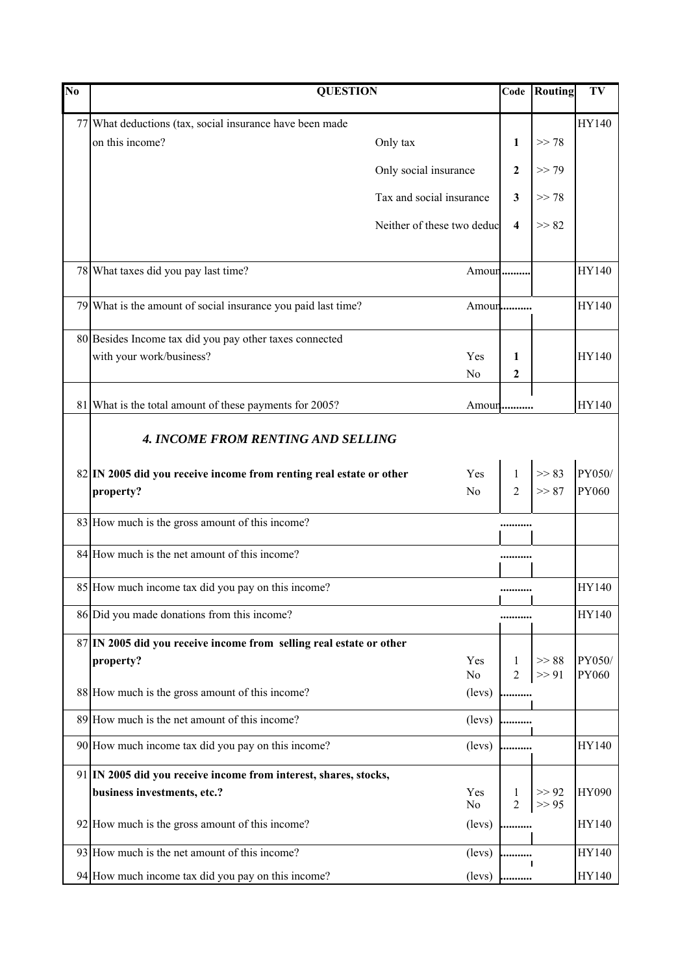| No | <b>QUESTION</b>                                                     |                            | Code                    | Routing        | TV              |
|----|---------------------------------------------------------------------|----------------------------|-------------------------|----------------|-----------------|
|    | 77 What deductions (tax, social insurance have been made            |                            |                         |                | HY140           |
|    | on this income?                                                     | Only tax                   | $\mathbf{1}$            | >> 78          |                 |
|    |                                                                     | Only social insurance      | $\mathbf{2}$            | >> 79          |                 |
|    |                                                                     | Tax and social insurance   | 3                       | >> 78          |                 |
|    |                                                                     | Neither of these two deduc | $\overline{\mathbf{4}}$ | >> 82          |                 |
|    | 78 What taxes did you pay last time?                                | Amour                      |                         |                | HY140           |
|    | 79 What is the amount of social insurance you paid last time?       | Amoun                      |                         |                | HY140           |
|    | 80 Besides Income tax did you pay other taxes connected             |                            |                         |                |                 |
|    | with your work/business?                                            | Yes                        | 1                       |                | <b>HY140</b>    |
|    |                                                                     | N <sub>0</sub>             | 2                       |                |                 |
|    | 81 What is the total amount of these payments for 2005?             | Amoun                      |                         |                | <b>HY140</b>    |
|    | <b>4. INCOME FROM RENTING AND SELLING</b>                           |                            |                         |                |                 |
|    | 82 IN 2005 did you receive income from renting real estate or other | Yes                        | $\mathbf{1}$            | >> 83          | PY050/          |
|    | property?                                                           | N <sub>o</sub>             | $\overline{2}$          | >> 87          | <b>PY060</b>    |
|    | 83 How much is the gross amount of this income?                     |                            |                         |                |                 |
|    | 84 How much is the net amount of this income?                       |                            |                         |                |                 |
|    | 85 How much income tax did you pay on this income?                  |                            |                         |                | HY140           |
|    | 86 Did you made donations from this income?                         |                            |                         |                | HY140           |
|    | 87 IN 2005 did you receive income from selling real estate or other |                            |                         |                |                 |
|    | property?                                                           | Yes<br>N <sub>0</sub>      | 1<br>$\overline{2}$     | >> 88<br>>> 91 | PY050/<br>PY060 |
|    | 88 How much is the gross amount of this income?                     | (levs)                     |                         |                |                 |
|    | 89 How much is the net amount of this income?                       | (levs)                     |                         |                |                 |
|    | 90 How much income tax did you pay on this income?                  | (levs)                     |                         |                | HY140           |
|    | 91 IN 2005 did you receive income from interest, shares, stocks,    |                            |                         |                |                 |
|    | business investments, etc.?                                         | Yes<br>N <sub>0</sub>      | 1<br>$\overline{2}$     | >> 92<br>>> 95 | <b>HY090</b>    |
|    | 92 How much is the gross amount of this income?                     | (levs)                     | .                       |                | HY140           |
|    | 93 How much is the net amount of this income?                       | (levs)                     |                         |                | HY140           |
|    | 94 How much income tax did you pay on this income?                  | (levs)                     |                         |                | HY140           |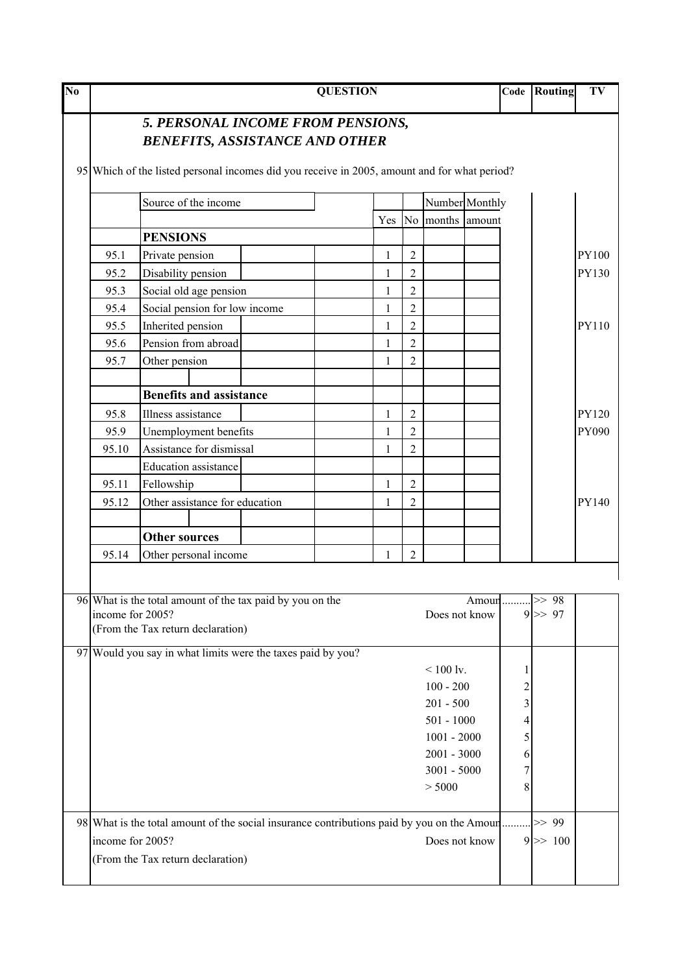| No |                  |                                                                                                                                                                            | <b>QUESTION</b> |                |                      |       | Code                    | Routing            | TV           |
|----|------------------|----------------------------------------------------------------------------------------------------------------------------------------------------------------------------|-----------------|----------------|----------------------|-------|-------------------------|--------------------|--------------|
|    |                  | 5. PERSONAL INCOME FROM PENSIONS,<br><b>BENEFITS, ASSISTANCE AND OTHER</b><br>95 Which of the listed personal incomes did you receive in 2005, amount and for what period? |                 |                |                      |       |                         |                    |              |
|    |                  | Source of the income                                                                                                                                                       |                 |                | Number Monthly       |       |                         |                    |              |
|    |                  |                                                                                                                                                                            |                 |                | Yes No months amount |       |                         |                    |              |
|    |                  | <b>PENSIONS</b>                                                                                                                                                            |                 |                |                      |       |                         |                    |              |
|    | 95.1             | Private pension                                                                                                                                                            | 1               | $\overline{2}$ |                      |       |                         |                    | <b>PY100</b> |
|    | 95.2             | Disability pension                                                                                                                                                         | 1               | $\overline{2}$ |                      |       |                         |                    | PY130        |
|    | 95.3             | Social old age pension                                                                                                                                                     | 1               | $\overline{2}$ |                      |       |                         |                    |              |
|    | 95.4             | Social pension for low income                                                                                                                                              | 1               | $\overline{2}$ |                      |       |                         |                    |              |
|    | 95.5             | Inherited pension                                                                                                                                                          |                 | $\overline{2}$ |                      |       |                         |                    | PY110        |
|    | 95.6             | Pension from abroad                                                                                                                                                        | 1               | $\overline{2}$ |                      |       |                         |                    |              |
|    | 95.7             | Other pension                                                                                                                                                              |                 | $\overline{2}$ |                      |       |                         |                    |              |
|    |                  |                                                                                                                                                                            |                 |                |                      |       |                         |                    |              |
|    |                  | <b>Benefits and assistance</b>                                                                                                                                             |                 |                |                      |       |                         |                    |              |
|    | 95.8             | Illness assistance                                                                                                                                                         | 1               | $\overline{2}$ |                      |       |                         |                    | <b>PY120</b> |
|    | 95.9             | Unemployment benefits                                                                                                                                                      | 1               | $\overline{2}$ |                      |       |                         |                    | PY090        |
|    | 95.10            | Assistance for dismissal                                                                                                                                                   | 1               | $\overline{2}$ |                      |       |                         |                    |              |
|    |                  | Education assistance                                                                                                                                                       |                 |                |                      |       |                         |                    |              |
|    | 95.11            | Fellowship                                                                                                                                                                 | 1               | $\overline{2}$ |                      |       |                         |                    |              |
|    | 95.12            | Other assistance for education                                                                                                                                             | 1               | $\overline{2}$ |                      |       |                         |                    | PY140        |
|    |                  | <b>Other sources</b>                                                                                                                                                       |                 |                |                      |       |                         |                    |              |
|    | 95.14            | Other personal income                                                                                                                                                      |                 | $\overline{2}$ |                      |       |                         |                    |              |
|    |                  |                                                                                                                                                                            |                 |                |                      |       |                         |                    |              |
|    | income for 2005? | 96 What is the total amount of the tax paid by you on the<br>(From the Tax return declaration)                                                                             |                 |                | Does not know        | Amour |                         | $\ge$ 98<br>9 > 97 |              |
|    |                  | 97 Would you say in what limits were the taxes paid by you?                                                                                                                |                 |                | $< 100$ lv.          |       | 1                       |                    |              |
|    |                  |                                                                                                                                                                            |                 |                | $100 - 200$          |       | $\overline{\mathbf{c}}$ |                    |              |
|    |                  |                                                                                                                                                                            |                 |                | $201 - 500$          |       | 3                       |                    |              |
|    |                  |                                                                                                                                                                            |                 |                | $501 - 1000$         |       | 4                       |                    |              |
|    |                  |                                                                                                                                                                            |                 |                | $1001 - 2000$        |       | 5                       |                    |              |
|    |                  |                                                                                                                                                                            |                 |                | $2001 - 3000$        |       | 6                       |                    |              |
|    |                  |                                                                                                                                                                            |                 |                | $3001 - 5000$        |       | 7                       |                    |              |
|    |                  |                                                                                                                                                                            |                 |                | > 5000               |       | 8                       |                    |              |
|    |                  | 98 What is the total amount of the social insurance contributions paid by you on the Amour                                                                                 |                 |                |                      |       |                         | $>> 99$            |              |
|    | income for 2005? |                                                                                                                                                                            |                 |                | Does not know        |       |                         | $9 \gg 100$        |              |
|    |                  | (From the Tax return declaration)                                                                                                                                          |                 |                |                      |       |                         |                    |              |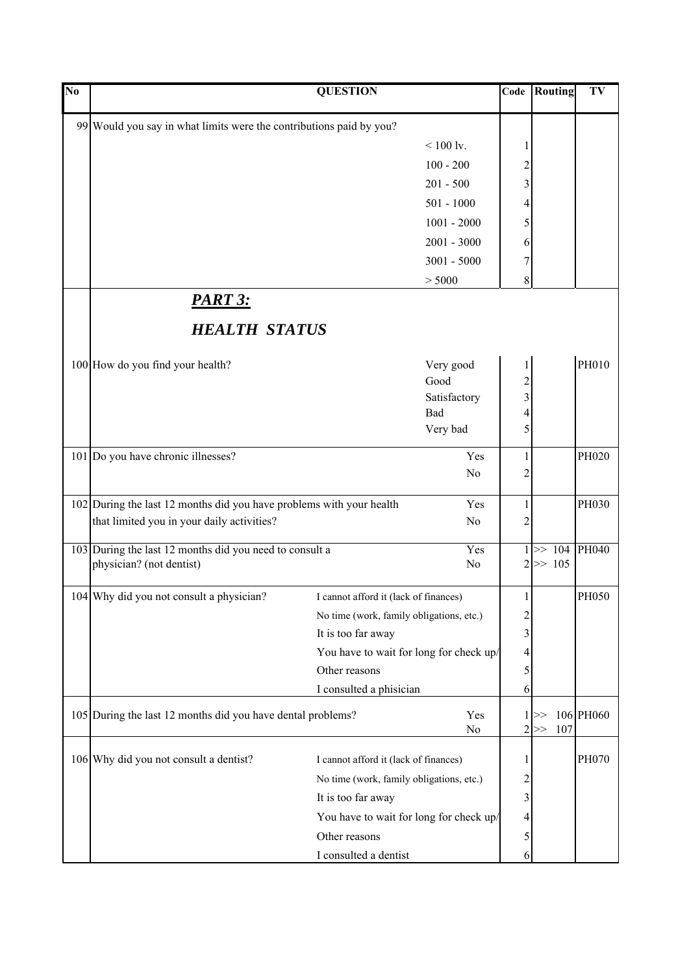| $\overline{\text{No}}$ |                                                                      | <b>QUESTION</b>                          |                     | Code                    | Routing     | TV        |
|------------------------|----------------------------------------------------------------------|------------------------------------------|---------------------|-------------------------|-------------|-----------|
|                        | 99 Would you say in what limits were the contributions paid by you?  |                                          |                     |                         |             |           |
|                        |                                                                      |                                          | $< 100 \text{ ly.}$ | 1                       |             |           |
|                        |                                                                      |                                          | $100 - 200$         | $\overline{c}$          |             |           |
|                        |                                                                      |                                          | $201 - 500$         | 3                       |             |           |
|                        |                                                                      |                                          | $501 - 1000$        | 4                       |             |           |
|                        |                                                                      |                                          | $1001 - 2000$       | 5                       |             |           |
|                        |                                                                      |                                          | $2001 - 3000$       | 6                       |             |           |
|                        |                                                                      |                                          | $3001 - 5000$       | 7                       |             |           |
|                        |                                                                      |                                          | > 5000              | 8                       |             |           |
|                        | <u>PART 3:</u>                                                       |                                          |                     |                         |             |           |
|                        | <b>HEALTH STATUS</b>                                                 |                                          |                     |                         |             |           |
|                        | 100 How do you find your health?                                     |                                          | Very good           |                         |             | PH010     |
|                        |                                                                      |                                          | Good                | $\overline{c}$          |             |           |
|                        |                                                                      |                                          | Satisfactory        | $\overline{\mathbf{3}}$ |             |           |
|                        |                                                                      |                                          | Bad                 | 4                       |             |           |
|                        |                                                                      |                                          | Very bad            | 5                       |             |           |
|                        | 101 Do you have chronic illnesses?                                   |                                          | Yes                 | 1                       |             | PH020     |
|                        |                                                                      |                                          | N <sub>0</sub>      | 2                       |             |           |
|                        | 102 During the last 12 months did you have problems with your health |                                          | Yes                 | 1                       |             | PH030     |
|                        | that limited you in your daily activities?                           |                                          | N <sub>0</sub>      | 2                       |             |           |
|                        |                                                                      |                                          |                     |                         |             |           |
|                        | 103 During the last 12 months did you need to consult a              |                                          | Yes                 |                         | $1 \gg 104$ | PH040     |
|                        | physician? (not dentist)                                             |                                          | No                  |                         | $2 \gg 105$ |           |
|                        | 104 Why did you not consult a physician?                             | I cannot afford it (lack of finances)    |                     | $\mathbf{1}$            |             | PH050     |
|                        |                                                                      | No time (work, family obligations, etc.) |                     | 2                       |             |           |
|                        |                                                                      | It is too far away                       |                     | 3                       |             |           |
|                        |                                                                      | You have to wait for long for check up/  |                     | 4                       |             |           |
|                        |                                                                      | Other reasons                            |                     | 5                       |             |           |
|                        |                                                                      | I consulted a phisician                  |                     | 6                       |             |           |
|                        | 105 During the last 12 months did you have dental problems?          |                                          | Yes                 |                         | $1 >\ge$    | 106 PH060 |
|                        |                                                                      |                                          | No                  | $\overline{2}$          | 107<br>>>   |           |
|                        | 106 Why did you not consult a dentist?                               | I cannot afford it (lack of finances)    |                     |                         |             | PH070     |
|                        |                                                                      | No time (work, family obligations, etc.) |                     | $\overline{c}$          |             |           |
|                        |                                                                      | It is too far away                       |                     | 3                       |             |           |
|                        |                                                                      | You have to wait for long for check up/  |                     | 4                       |             |           |
|                        |                                                                      | Other reasons                            |                     | 5                       |             |           |
|                        |                                                                      | I consulted a dentist                    |                     | 6                       |             |           |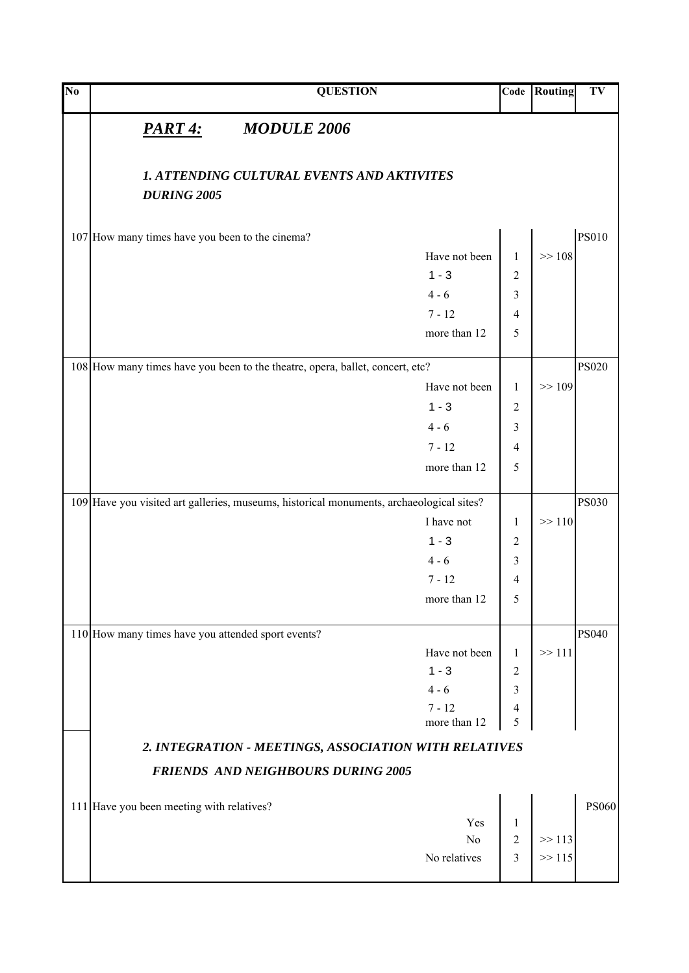| $\overline{\text{No}}$ |                                                    | <b>QUESTION</b>                                                                          |               | Code           | Routing | TV           |
|------------------------|----------------------------------------------------|------------------------------------------------------------------------------------------|---------------|----------------|---------|--------------|
|                        | <u>PART 4:</u>                                     | <b>MODULE 2006</b>                                                                       |               |                |         |              |
|                        | <b>DURING 2005</b>                                 | <b>1. ATTENDING CULTURAL EVENTS AND AKTIVITES</b>                                        |               |                |         |              |
|                        |                                                    |                                                                                          |               |                |         |              |
|                        | 107 How many times have you been to the cinema?    |                                                                                          |               |                |         | <b>PS010</b> |
|                        |                                                    |                                                                                          | Have not been | $\mathbf{1}$   | >> 108  |              |
|                        |                                                    |                                                                                          | $1 - 3$       | $\overline{2}$ |         |              |
|                        |                                                    |                                                                                          | $4 - 6$       | 3              |         |              |
|                        |                                                    |                                                                                          | $7 - 12$      | $\overline{4}$ |         |              |
|                        |                                                    |                                                                                          | more than 12  | 5              |         |              |
|                        |                                                    | 108 How many times have you been to the theatre, opera, ballet, concert, etc?            |               |                |         | <b>PS020</b> |
|                        |                                                    |                                                                                          | Have not been | $\mathbf{1}$   | >> 109  |              |
|                        |                                                    |                                                                                          | $1 - 3$       | $\overline{2}$ |         |              |
|                        |                                                    |                                                                                          | $4 - 6$       | 3              |         |              |
|                        |                                                    |                                                                                          | $7 - 12$      | 4              |         |              |
|                        |                                                    |                                                                                          | more than 12  | 5              |         |              |
|                        |                                                    |                                                                                          |               |                |         |              |
|                        |                                                    | 109 Have you visited art galleries, museums, historical monuments, archaeological sites? |               |                |         | <b>PS030</b> |
|                        |                                                    |                                                                                          | I have not    | 1              | >> 110  |              |
|                        |                                                    |                                                                                          | $1 - 3$       | $\overline{c}$ |         |              |
|                        |                                                    |                                                                                          | $4 - 6$       | 3              |         |              |
|                        |                                                    |                                                                                          | $7 - 12$      | 4              |         |              |
|                        |                                                    |                                                                                          | more than 12  | 5              |         |              |
|                        | 110 How many times have you attended sport events? |                                                                                          |               |                |         | <b>PS040</b> |
|                        |                                                    |                                                                                          | Have not been | $\mathbf{1}$   | >> 111  |              |
|                        |                                                    |                                                                                          | $1 - 3$       | 2              |         |              |
|                        |                                                    |                                                                                          | $4 - 6$       | 3              |         |              |
|                        |                                                    |                                                                                          | $7 - 12$      | $\overline{4}$ |         |              |
|                        |                                                    |                                                                                          | more than 12  | 5              |         |              |
|                        |                                                    | 2. INTEGRATION - MEETINGS, ASSOCIATION WITH RELATIVES                                    |               |                |         |              |
|                        |                                                    | <b>FRIENDS AND NEIGHBOURS DURING 2005</b>                                                |               |                |         |              |
|                        | 111 Have you been meeting with relatives?          |                                                                                          |               |                |         | <b>PS060</b> |
|                        |                                                    |                                                                                          | Yes           | 1              |         |              |
|                        |                                                    |                                                                                          | No            | $\overline{2}$ | >> 113  |              |
|                        |                                                    |                                                                                          | No relatives  | 3              | >> 115  |              |
|                        |                                                    |                                                                                          |               |                |         |              |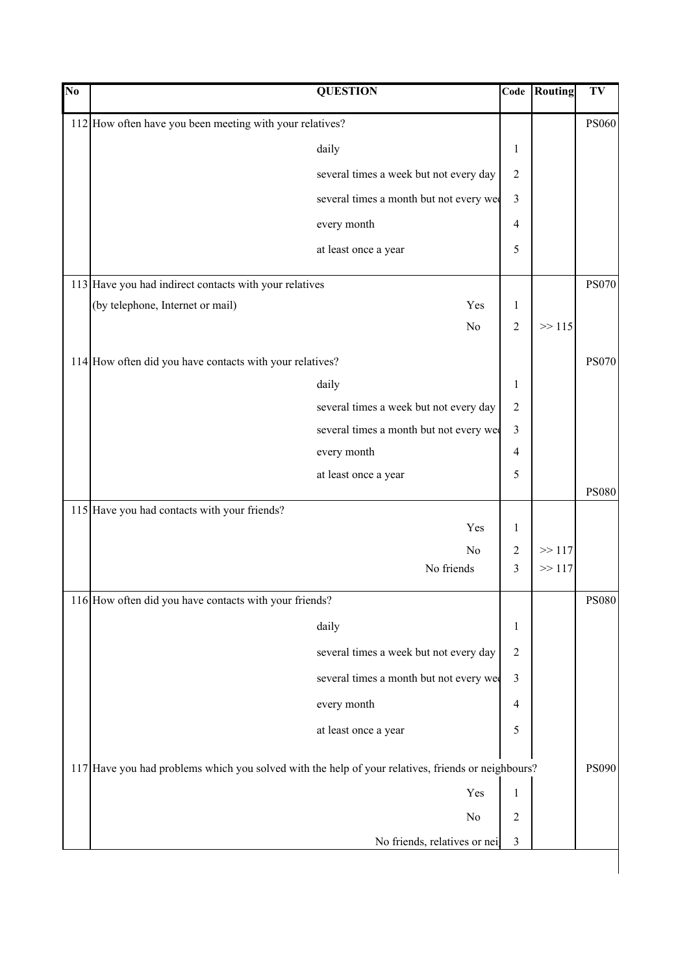| $\overline{\text{No}}$ | <b>QUESTION</b>                                                                                    | Code                    | Routing | TV           |
|------------------------|----------------------------------------------------------------------------------------------------|-------------------------|---------|--------------|
|                        | 112 How often have you been meeting with your relatives?                                           |                         |         | <b>PS060</b> |
|                        | daily                                                                                              | $\mathbf{1}$            |         |              |
|                        | several times a week but not every day                                                             | $\sqrt{2}$              |         |              |
|                        | several times a month but not every we                                                             | 3                       |         |              |
|                        | every month                                                                                        | $\overline{4}$          |         |              |
|                        | at least once a year                                                                               | 5                       |         |              |
|                        | 113 Have you had indirect contacts with your relatives                                             |                         |         | <b>PS070</b> |
|                        | (by telephone, Internet or mail)<br>Yes                                                            | $\mathbf{1}$            |         |              |
|                        | N <sub>o</sub>                                                                                     | $\overline{2}$          | >> 115  |              |
|                        | 114 How often did you have contacts with your relatives?                                           |                         |         | <b>PS070</b> |
|                        | daily                                                                                              | 1                       |         |              |
|                        | several times a week but not every day                                                             | $\overline{c}$          |         |              |
|                        | several times a month but not every we                                                             | 3                       |         |              |
|                        | every month                                                                                        | 4                       |         |              |
|                        | at least once a year                                                                               | 5                       |         |              |
|                        | 115 Have you had contacts with your friends?                                                       |                         |         | <b>PS080</b> |
|                        | Yes                                                                                                | $\mathbf{1}$            |         |              |
|                        | No                                                                                                 | 2                       | >> 117  |              |
|                        | No friends                                                                                         | 3                       | >> 117  |              |
|                        | 116 How often did you have contacts with your friends?                                             |                         |         | <b>PS080</b> |
|                        | daily                                                                                              | $\mathbf{1}$            |         |              |
|                        | several times a week but not every day                                                             | $\sqrt{2}$              |         |              |
|                        | several times a month but not every we                                                             | $\overline{\mathbf{3}}$ |         |              |
|                        | every month                                                                                        | 4                       |         |              |
|                        | at least once a year                                                                               | 5                       |         |              |
|                        | 117 Have you had problems which you solved with the help of your relatives, friends or neighbours? |                         |         | <b>PS090</b> |
|                        | Yes                                                                                                | $\mathbf{1}$            |         |              |
|                        | $\rm No$                                                                                           | $\overline{c}$          |         |              |
|                        | No friends, relatives or nei                                                                       | 3                       |         |              |
|                        |                                                                                                    |                         |         |              |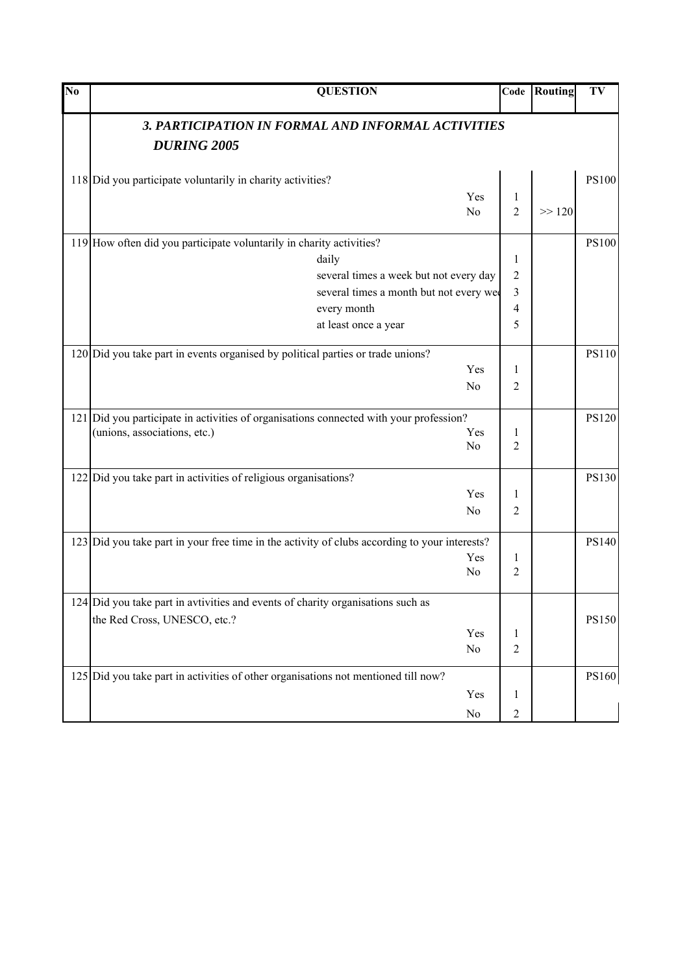| No | <b>QUESTION</b>                                                                               | Code           | <b>Routing</b> | TV           |
|----|-----------------------------------------------------------------------------------------------|----------------|----------------|--------------|
|    | 3. PARTICIPATION IN FORMAL AND INFORMAL ACTIVITIES                                            |                |                |              |
|    | <b>DURING 2005</b>                                                                            |                |                |              |
|    | 118 Did you participate voluntarily in charity activities?                                    |                |                | <b>PS100</b> |
|    | Yes                                                                                           | $\mathbf{1}$   |                |              |
|    | No                                                                                            | $\overline{2}$ | >> 120         |              |
|    | 119 How often did you participate voluntarily in charity activities?                          |                |                | <b>PS100</b> |
|    | daily                                                                                         | 1              |                |              |
|    | several times a week but not every day                                                        | 2              |                |              |
|    | several times a month but not every we                                                        | 3              |                |              |
|    | every month                                                                                   | 4              |                |              |
|    | at least once a year                                                                          | 5              |                |              |
|    | 120 Did you take part in events organised by political parties or trade unions?               |                |                | <b>PS110</b> |
|    | Yes                                                                                           | 1              |                |              |
|    | No                                                                                            | 2              |                |              |
|    | 121 Did you participate in activities of organisations connected with your profession?        |                |                | <b>PS120</b> |
|    | (unions, associations, etc.)<br>Yes                                                           | 1              |                |              |
|    | No                                                                                            | 2              |                |              |
|    | 122 Did you take part in activities of religious organisations?                               |                |                | <b>PS130</b> |
|    | Yes                                                                                           | 1              |                |              |
|    | No                                                                                            | $\overline{2}$ |                |              |
|    | 123 Did you take part in your free time in the activity of clubs according to your interests? |                |                | <b>PS140</b> |
|    | Yes                                                                                           | 1              |                |              |
|    | No                                                                                            | $\overline{2}$ |                |              |
|    | 124 Did you take part in avtivities and events of charity organisations such as               |                |                |              |
|    | the Red Cross, UNESCO, etc.?                                                                  |                |                | <b>PS150</b> |
|    | Yes                                                                                           | $\mathbf{1}$   |                |              |
|    | No                                                                                            | $\overline{2}$ |                |              |
|    | 125 Did you take part in activities of other organisations not mentioned till now?            |                |                | <b>PS160</b> |
|    | Yes                                                                                           | $\mathbf{1}$   |                |              |
|    | No                                                                                            | $\overline{c}$ |                |              |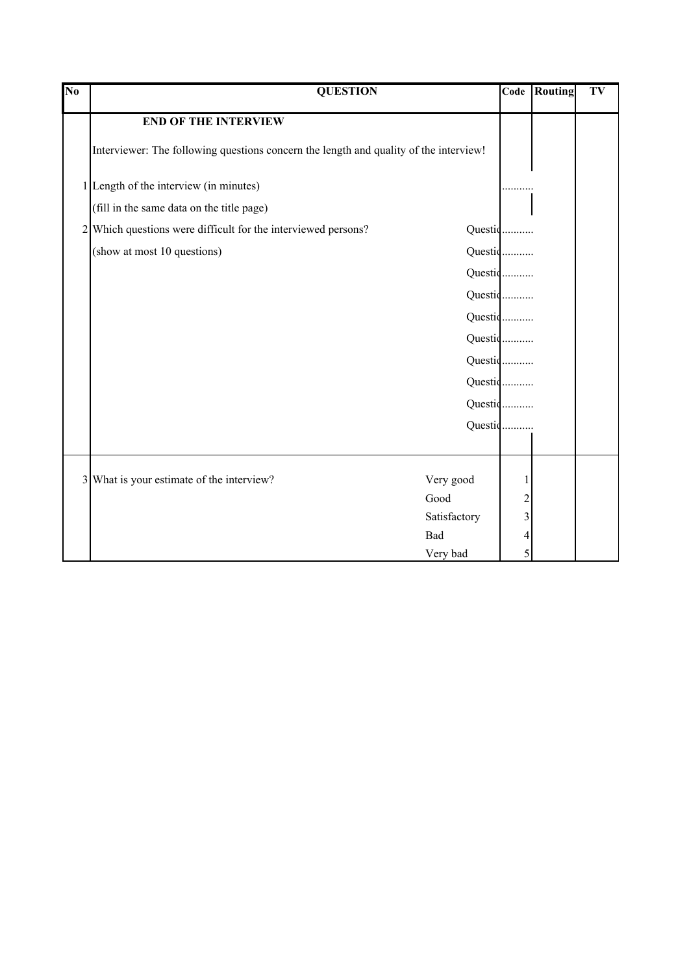| $\overline{\text{No}}$ | <b>QUESTION</b>                                                                       | Code           | Routing | TV |  |
|------------------------|---------------------------------------------------------------------------------------|----------------|---------|----|--|
|                        | <b>END OF THE INTERVIEW</b>                                                           |                |         |    |  |
|                        | Interviewer: The following questions concern the length and quality of the interview! |                |         |    |  |
|                        | 1 Length of the interview (in minutes)                                                |                |         |    |  |
|                        | (fill in the same data on the title page)                                             |                |         |    |  |
| 2                      | Which questions were difficult for the interviewed persons?                           | Questic        |         |    |  |
|                        | (show at most 10 questions)                                                           | Questic        |         |    |  |
|                        |                                                                                       | Questic        |         |    |  |
|                        |                                                                                       | Questic        |         |    |  |
|                        |                                                                                       | Questic        |         |    |  |
|                        |                                                                                       | Questic        |         |    |  |
|                        |                                                                                       | Questic        |         |    |  |
|                        |                                                                                       | Questic        |         |    |  |
|                        |                                                                                       | Questic        |         |    |  |
|                        |                                                                                       | Questic        |         |    |  |
|                        |                                                                                       |                |         |    |  |
| $\overline{3}$         | What is your estimate of the interview?<br>Very good                                  | 1              |         |    |  |
|                        | Good                                                                                  | $\overline{c}$ |         |    |  |
|                        | Satisfactory                                                                          | 3              |         |    |  |
|                        | Bad                                                                                   | 4              |         |    |  |
|                        | Very bad                                                                              | 5              |         |    |  |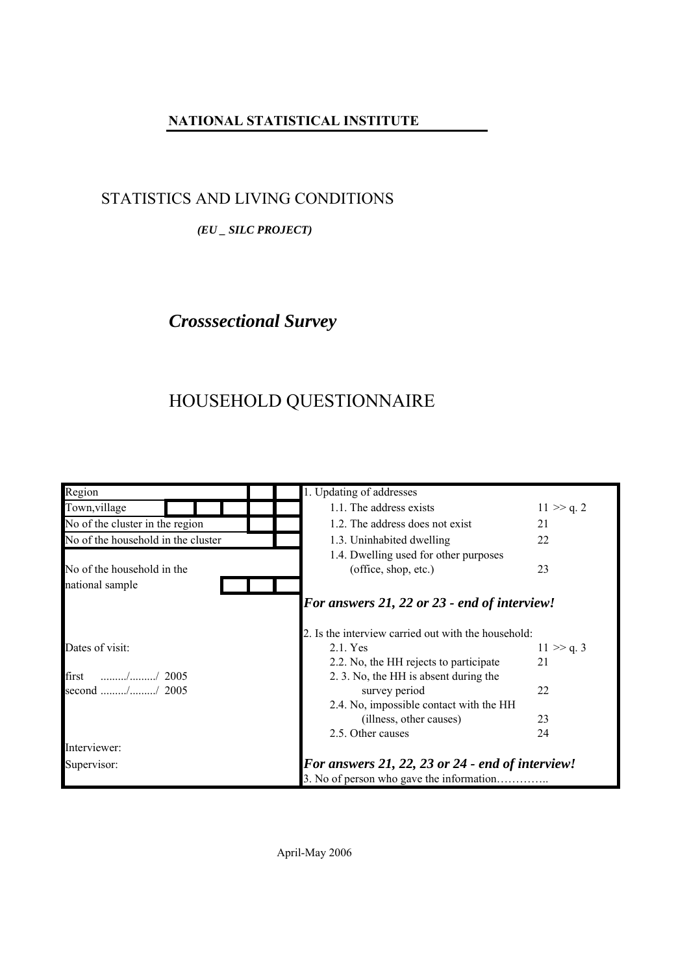## **NATIONAL STATISTICAL INSTITUTE**

## STATISTICS AND LIVING CONDITIONS

#### *(EU \_ SILC PROJECT)*

# *Crosssectional Survey*

# HOUSEHOLD QUESTIONNAIRE

| Region                                                                    | 1. Updating of addresses                            |                                                  |  |  |  |  |
|---------------------------------------------------------------------------|-----------------------------------------------------|--------------------------------------------------|--|--|--|--|
| Town, village                                                             | 1.1. The address exists                             | $11 \gg q.2$                                     |  |  |  |  |
| No of the cluster in the region                                           | 1.2. The address does not exist                     | 21                                               |  |  |  |  |
| No of the household in the cluster                                        | 1.3. Uninhabited dwelling                           | 22                                               |  |  |  |  |
|                                                                           | 1.4. Dwelling used for other purposes               |                                                  |  |  |  |  |
| No of the household in the                                                | (office, shop, etc.)                                | 23                                               |  |  |  |  |
| national sample                                                           |                                                     |                                                  |  |  |  |  |
|                                                                           | <b>For answers 21, 22 or 23 - end of interview!</b> |                                                  |  |  |  |  |
|                                                                           | 2. Is the interview carried out with the household: |                                                  |  |  |  |  |
| Dates of visit:                                                           | 2.1. Yes                                            | $11 \gg q.3$                                     |  |  |  |  |
|                                                                           | 2.2. No, the HH rejects to participate              | 21                                               |  |  |  |  |
| first<br>$\ldots \ldots \ldots \ldots \ldots \ldots \ldots \ldots$ / 2005 | 2. 3. No, the HH is absent during the               |                                                  |  |  |  |  |
| second // 2005                                                            | survey period                                       | 22                                               |  |  |  |  |
|                                                                           | 2.4. No, impossible contact with the HH             |                                                  |  |  |  |  |
|                                                                           | (illness, other causes)                             | 23                                               |  |  |  |  |
|                                                                           | 2.5. Other causes                                   | 24                                               |  |  |  |  |
| Interviewer:                                                              |                                                     |                                                  |  |  |  |  |
| Supervisor:                                                               |                                                     | For answers 21, 22, 23 or 24 - end of interview! |  |  |  |  |
|                                                                           |                                                     |                                                  |  |  |  |  |

April-May 2006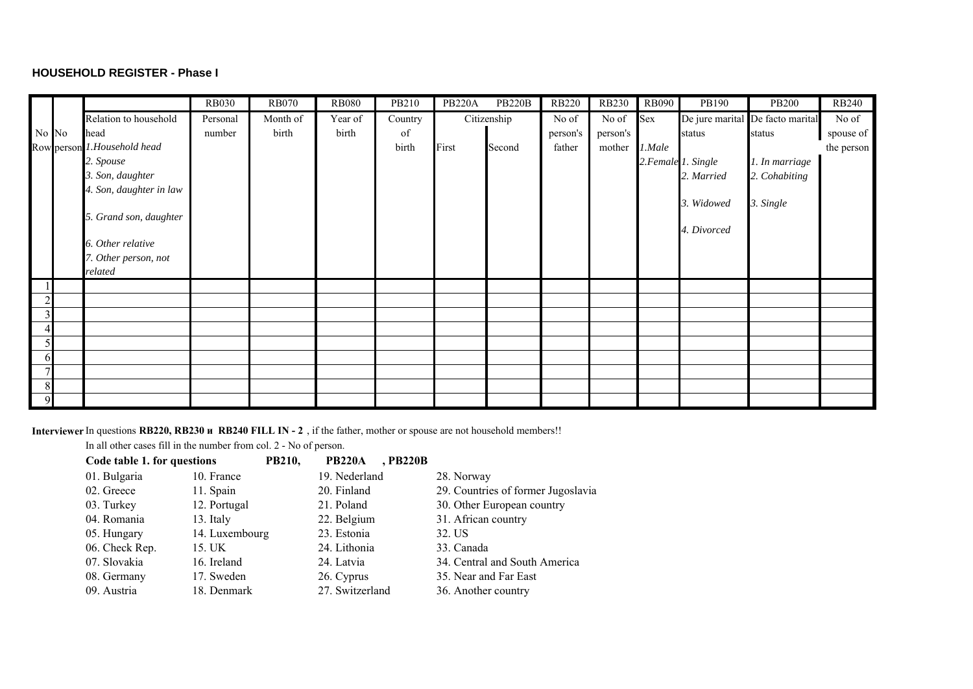#### **HOUSEHOLD REGISTER - Phase I**

|                |       |                                 | <b>RB030</b> | <b>RB070</b> | <b>RB080</b> | PB210   | <b>PB220A</b> | <b>PB220B</b> | <b>RB220</b> | <b>RB230</b> | <b>RB090</b> | PB190               | <b>PB200</b>                     | <b>RB240</b> |
|----------------|-------|---------------------------------|--------------|--------------|--------------|---------|---------------|---------------|--------------|--------------|--------------|---------------------|----------------------------------|--------------|
|                |       | Relation to household           | Personal     | Month of     | Year of      | Country |               | Citizenship   | No of        | No of        | Sex          |                     | De jure marital De facto marital | No of        |
|                | No No | head                            | number       | birth        | birth        | of      |               |               | person's     | person's     |              | status              | status                           | spouse of    |
|                |       | Row person 1. Household head    |              |              |              | birth   | First         | Second        | father       | mother       | 1.Male       |                     |                                  | the person   |
|                |       | 2. Spouse                       |              |              |              |         |               |               |              |              |              | 2. Female 1. Single | 1. In marriage                   |              |
|                |       | 3. Son, daughter                |              |              |              |         |               |               |              |              |              | 2. Married          | 2. Cohabiting                    |              |
|                |       | 4. Son, daughter in law         |              |              |              |         |               |               |              |              |              |                     |                                  |              |
|                |       |                                 |              |              |              |         |               |               |              |              |              | 3. Widowed          | 3. Single                        |              |
|                |       | 5. Grand son, daughter          |              |              |              |         |               |               |              |              |              |                     |                                  |              |
|                |       |                                 |              |              |              |         |               |               |              |              |              | 4. Divorced         |                                  |              |
|                |       | 6. Other relative               |              |              |              |         |               |               |              |              |              |                     |                                  |              |
|                |       | 7. Other person, not<br>related |              |              |              |         |               |               |              |              |              |                     |                                  |              |
|                |       |                                 |              |              |              |         |               |               |              |              |              |                     |                                  |              |
| $\overline{2}$ |       |                                 |              |              |              |         |               |               |              |              |              |                     |                                  |              |
|                |       |                                 |              |              |              |         |               |               |              |              |              |                     |                                  |              |
|                |       |                                 |              |              |              |         |               |               |              |              |              |                     |                                  |              |
|                |       |                                 |              |              |              |         |               |               |              |              |              |                     |                                  |              |
| $\mathbf{D}$   |       |                                 |              |              |              |         |               |               |              |              |              |                     |                                  |              |
|                |       |                                 |              |              |              |         |               |               |              |              |              |                     |                                  |              |
| 8              |       |                                 |              |              |              |         |               |               |              |              |              |                     |                                  |              |
|                |       |                                 |              |              |              |         |               |               |              |              |              |                     |                                  |              |

**Interviewer** In questions **RB220, RB230 и RB240 FILL IN - 2** , if the father, mother or spouse are not household members!!

In all other cases fill in the number from col. 2 - No of person.

| Code table 1. for questions | <b>PB210,</b>  | <b>PB220A</b><br>, PB220B |                                    |
|-----------------------------|----------------|---------------------------|------------------------------------|
| 01. Bulgaria                | 10. France     | 19. Nederland             | 28. Norway                         |
| 02. Greece                  | 11. Spain      | 20. Finland               | 29. Countries of former Jugoslavia |
| 03. Turkey                  | 12. Portugal   | 21. Poland                | 30. Other European country         |
| 04. Romania                 | 13. Italy      | 22. Belgium               | 31. African country                |
| 05. Hungary                 | 14. Luxembourg | 23. Estonia               | 32. US                             |
| 06. Check Rep.              | 15. UK         | 24. Lithonia              | 33. Canada                         |
| 07. Slovakia                | 16. Ireland    | 24. Latvia                | 34. Central and South America      |
| 08. Germany                 | 17. Sweden     | 26. Cyprus                | 35. Near and Far East              |
| 09. Austria                 | 18. Denmark    | 27. Switzerland           | 36. Another country                |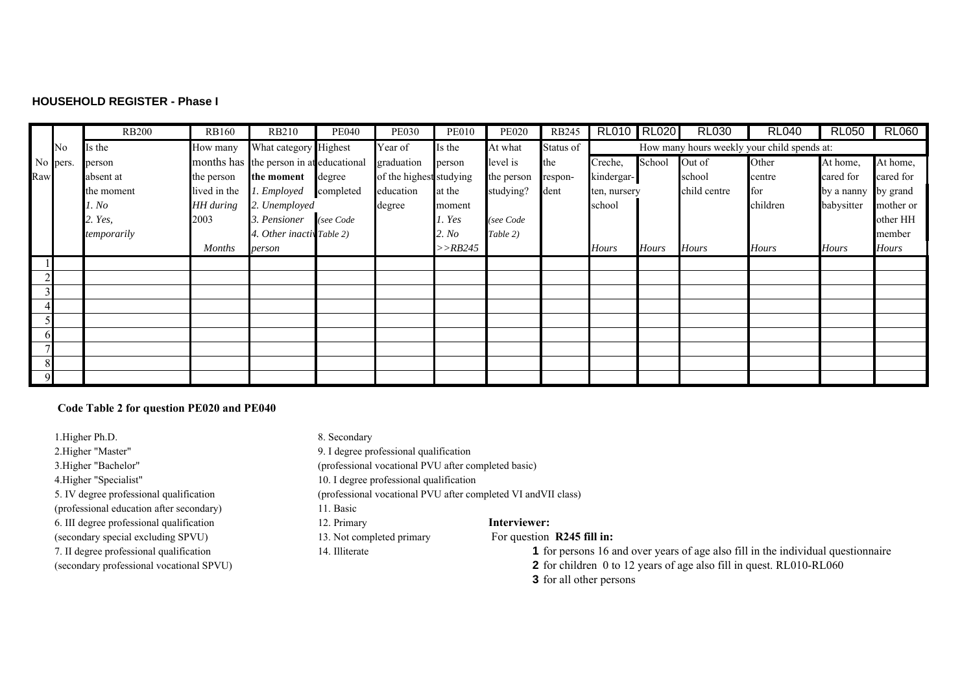#### **HOUSEHOLD REGISTER - Phase I**

|     |          | <b>RB200</b> | <b>RB160</b>  | <b>RB210</b>                            | <b>PE040</b> | <b>PE030</b>            | <b>PE010</b> | <b>PE020</b> | <b>RB245</b> | RL010 RL020  |              | <b>RL030</b> | <b>RL040</b>                                | <b>RL050</b> | <b>RL060</b> |
|-----|----------|--------------|---------------|-----------------------------------------|--------------|-------------------------|--------------|--------------|--------------|--------------|--------------|--------------|---------------------------------------------|--------------|--------------|
|     | No       | Is the       | How many      | What category Highest                   |              | Year of                 | Is the       | At what      | Status of    |              |              |              | How many hours weekly your child spends at: |              |              |
|     | No pers. | person       |               | months has the person in at educational |              | graduation              | person       | level is     | the          | Creche,      | School       | Out of       | Other                                       | At home,     | At home,     |
| Raw |          | absent at    | the person    | the moment                              | degree       | of the highest studying |              | the person   | respon-      | kindergar-   |              | school       | centre                                      | cared for    | cared for    |
|     |          | the moment   | lived in the  | 1. Employed                             | completed    | education               | at the       | studying?    | dent         | ten, nursery |              | child centre | for                                         | by a nanny   | by grand     |
|     |          | 1. No        | HH during     | 2. Unemployed                           |              | degree                  | moment       |              |              | school       |              |              | children                                    | babysitter   | mother or    |
|     |          | 2. Yes,      | 2003          | 3. Pensioner                            | (see Code    |                         | l. Yes       | (see Code    |              |              |              |              |                                             |              | other HH     |
|     |          | temporarily  |               | . Other inactiv Table 2)                |              |                         | 2. No        | Table 2)     |              |              |              |              |                                             |              | member       |
|     |          |              | <b>Months</b> | person                                  |              |                         | >>RB245      |              |              | <b>Hours</b> | <b>Hours</b> | Hours        | <b>Hours</b>                                | <b>Hours</b> | <b>Hours</b> |
|     |          |              |               |                                         |              |                         |              |              |              |              |              |              |                                             |              |              |
|     |          |              |               |                                         |              |                         |              |              |              |              |              |              |                                             |              |              |
|     |          |              |               |                                         |              |                         |              |              |              |              |              |              |                                             |              |              |
|     |          |              |               |                                         |              |                         |              |              |              |              |              |              |                                             |              |              |
|     |          |              |               |                                         |              |                         |              |              |              |              |              |              |                                             |              |              |
| hl  |          |              |               |                                         |              |                         |              |              |              |              |              |              |                                             |              |              |
|     |          |              |               |                                         |              |                         |              |              |              |              |              |              |                                             |              |              |
|     |          |              |               |                                         |              |                         |              |              |              |              |              |              |                                             |              |              |
| Q   |          |              |               |                                         |              |                         |              |              |              |              |              |              |                                             |              |              |

#### **Code Table 2 for question PE020 and PE040**

1. Higher Ph.D. 8. Secondary 2.Higher "Master" 9. I degree professional qualification 4.Higher "Specialist" 10. I degree professional qualification (professional education after secondary) 11. Basic 6. III degree professional qualification 12. Primary **Interviewer:** (secondary special excluding SPVU) 13. Not completed primary For question **R245 fill in:** 

3.Higher "Bachelor" (professional vocational PVU after completed basic)

5. IV degree professional qualification (professional vocational PVU after completed VI andVII class)

- 
- 

7. II degree professional qualification 14. Illiterate **1** for persons 16 and over years of age also fill in the individual questionnaire

(secondary professional vocational SPVU) **2** for children 0 to 12 years of age also fill in quest. RL010-RL060

**3** for all other persons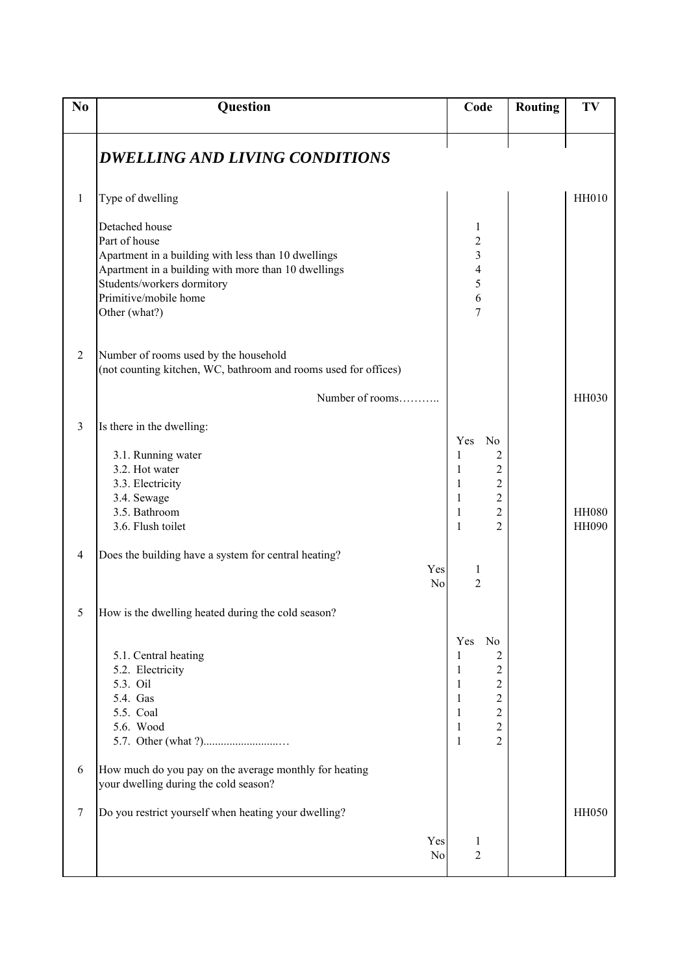| N <sub>0</sub> | Question                                                                                                                                                                                                                                                                                                                                  | Code                                                                                                                                                                                                                                                                      | <b>Routing</b> | TV                           |
|----------------|-------------------------------------------------------------------------------------------------------------------------------------------------------------------------------------------------------------------------------------------------------------------------------------------------------------------------------------------|---------------------------------------------------------------------------------------------------------------------------------------------------------------------------------------------------------------------------------------------------------------------------|----------------|------------------------------|
|                | <b>DWELLING AND LIVING CONDITIONS</b>                                                                                                                                                                                                                                                                                                     |                                                                                                                                                                                                                                                                           |                |                              |
| 1              | Type of dwelling                                                                                                                                                                                                                                                                                                                          |                                                                                                                                                                                                                                                                           |                | <b>HH010</b>                 |
|                | Detached house<br>Part of house<br>Apartment in a building with less than 10 dwellings<br>Apartment in a building with more than 10 dwellings<br>Students/workers dormitory<br>Primitive/mobile home<br>Other (what?)                                                                                                                     | 1<br>$\overline{\mathbf{c}}$<br>$\frac{3}{4}$<br>$\frac{5}{6}$<br>7                                                                                                                                                                                                       |                |                              |
| 2              | Number of rooms used by the household<br>(not counting kitchen, WC, bathroom and rooms used for offices)                                                                                                                                                                                                                                  |                                                                                                                                                                                                                                                                           |                |                              |
|                | Number of rooms                                                                                                                                                                                                                                                                                                                           |                                                                                                                                                                                                                                                                           |                | <b>HH030</b>                 |
| 3<br>4<br>C    | Is there in the dwelling:<br>3.1. Running water<br>3.2. Hot water<br>3.3. Electricity<br>3.4. Sewage<br>3.5. Bathroom<br>3.6. Flush toilet<br>Does the building have a system for central heating?<br>Yes<br>N <sub>0</sub><br>How is the dwelling heated during the cold season?<br>5.1. Central heating<br>5.2. Electricity<br>5.3. Oil | N <sub>o</sub><br>Yes<br>$\overline{c}$<br>1<br>$\overline{c}$<br>1<br>$\overline{c}$<br>$\mathbf{1}$<br>$\overline{2}$<br>$\mathbf{1}$<br>$\sqrt{2}$<br>1<br>$\overline{2}$<br>1<br>1<br>$\overline{2}$<br>Yes<br>No<br>2<br>1<br>$\sqrt{2}$<br>1<br>$\overline{2}$<br>1 |                | <b>HH080</b><br><b>HH090</b> |
| 6<br>$\tau$    | 5.4. Gas<br>5.5. Coal<br>5.6. Wood<br>How much do you pay on the average monthly for heating<br>your dwelling during the cold season?<br>Do you restrict yourself when heating your dwelling?                                                                                                                                             | $\sqrt{2}$<br>1<br>$\sqrt{2}$<br>1<br>$\overline{2}$<br>$\mathbf{1}$<br>$\overline{2}$<br>1                                                                                                                                                                               |                | <b>HH050</b>                 |
|                | Yes<br>No                                                                                                                                                                                                                                                                                                                                 | $\mathbf{1}$<br>$\overline{c}$                                                                                                                                                                                                                                            |                |                              |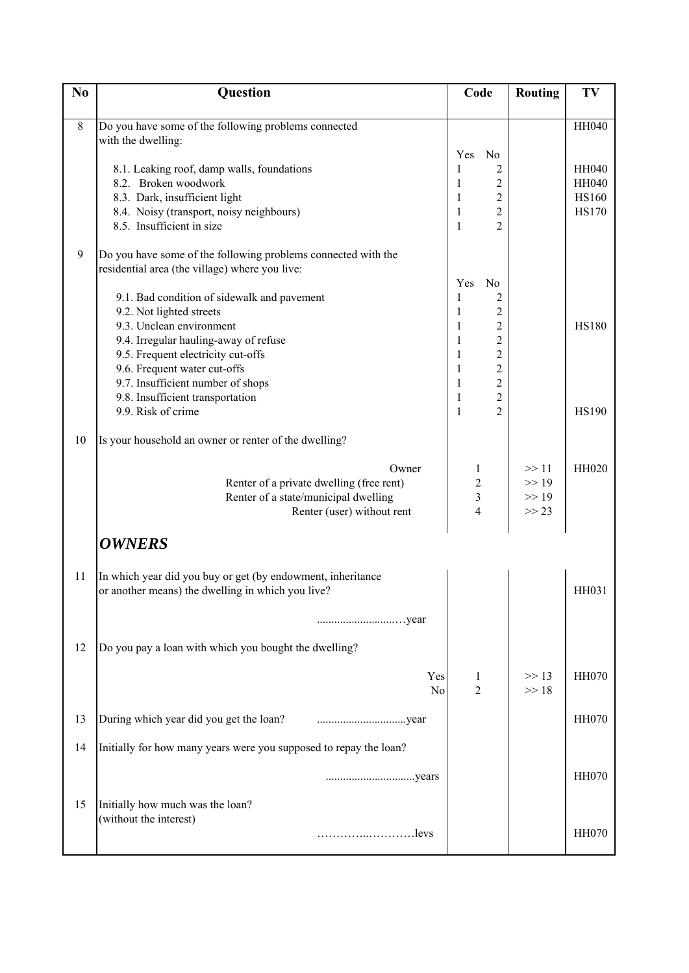| N <sub>0</sub> | Question                                                                  | Code                                       | Routing        | TV                           |
|----------------|---------------------------------------------------------------------------|--------------------------------------------|----------------|------------------------------|
|                |                                                                           |                                            |                |                              |
| $8\,$          | Do you have some of the following problems connected                      |                                            |                | <b>HH040</b>                 |
|                | with the dwelling:                                                        |                                            |                |                              |
|                |                                                                           | N <sub>0</sub><br>Yes                      |                |                              |
|                | 8.1. Leaking roof, damp walls, foundations                                | 2<br>1                                     |                | <b>HH040</b>                 |
|                | 8.2. Broken woodwork                                                      | $\overline{c}$<br>1                        |                | <b>HH040</b>                 |
|                | 8.3. Dark, insufficient light<br>8.4. Noisy (transport, noisy neighbours) | $\overline{c}$<br>1<br>$\overline{c}$<br>1 |                | <b>HS160</b><br><b>HS170</b> |
|                | 8.5. Insufficient in size                                                 | $\overline{2}$<br>1                        |                |                              |
|                |                                                                           |                                            |                |                              |
| 9              | Do you have some of the following problems connected with the             |                                            |                |                              |
|                | residential area (the village) where you live:                            |                                            |                |                              |
|                |                                                                           | Yes<br>N <sub>o</sub>                      |                |                              |
|                | 9.1. Bad condition of sidewalk and pavement                               | 1<br>2                                     |                |                              |
|                | 9.2. Not lighted streets                                                  | $\overline{c}$<br>1                        |                |                              |
|                | 9.3. Unclean environment                                                  | $\overline{c}$<br>1                        |                | <b>HS180</b>                 |
|                | 9.4. Irregular hauling-away of refuse                                     | $\overline{c}$<br>1                        |                |                              |
|                | 9.5. Frequent electricity cut-offs                                        | $\overline{c}$<br>$\mathbf{1}$             |                |                              |
|                | 9.6. Frequent water cut-offs                                              | $\overline{c}$<br>1<br>$\overline{2}$      |                |                              |
|                | 9.7. Insufficient number of shops<br>9.8. Insufficient transportation     | 1<br>$\overline{2}$<br>1                   |                |                              |
|                | 9.9. Risk of crime                                                        | $\overline{2}$<br>$\mathbf{1}$             |                | <b>HS190</b>                 |
|                |                                                                           |                                            |                |                              |
| 10             | Is your household an owner or renter of the dwelling?                     |                                            |                |                              |
|                |                                                                           |                                            |                |                              |
|                | Owner                                                                     | 1                                          | >> 11          | HH020                        |
|                | Renter of a private dwelling (free rent)                                  | $\overline{c}$<br>3                        | >> 19<br>>> 19 |                              |
|                | Renter of a state/municipal dwelling<br>Renter (user) without rent        | $\overline{4}$                             | >> 23          |                              |
|                |                                                                           |                                            |                |                              |
|                | <b>OWNERS</b>                                                             |                                            |                |                              |
|                |                                                                           |                                            |                |                              |
| 11             | In which year did you buy or get (by endowment, inheritance               |                                            |                |                              |
|                | or another means) the dwelling in which you live?                         |                                            |                | HH031                        |
|                |                                                                           |                                            |                |                              |
|                |                                                                           |                                            |                |                              |
| 12             |                                                                           |                                            |                |                              |
|                | Do you pay a loan with which you bought the dwelling?                     |                                            |                |                              |
|                | Yes                                                                       | 1                                          | >> 13          | <b>HH070</b>                 |
|                | No                                                                        | $\overline{2}$                             | >> 18          |                              |
|                |                                                                           |                                            |                |                              |
| 13             | During which year did you get the loan?                                   |                                            |                | <b>HH070</b>                 |
|                |                                                                           |                                            |                |                              |
| 14             | Initially for how many years were you supposed to repay the loan?         |                                            |                |                              |
|                |                                                                           |                                            |                | <b>HH070</b>                 |
|                |                                                                           |                                            |                |                              |
| 15             | Initially how much was the loan?                                          |                                            |                |                              |
|                | (without the interest)                                                    |                                            |                |                              |
|                | levs                                                                      |                                            |                | <b>HH070</b>                 |
|                |                                                                           |                                            |                |                              |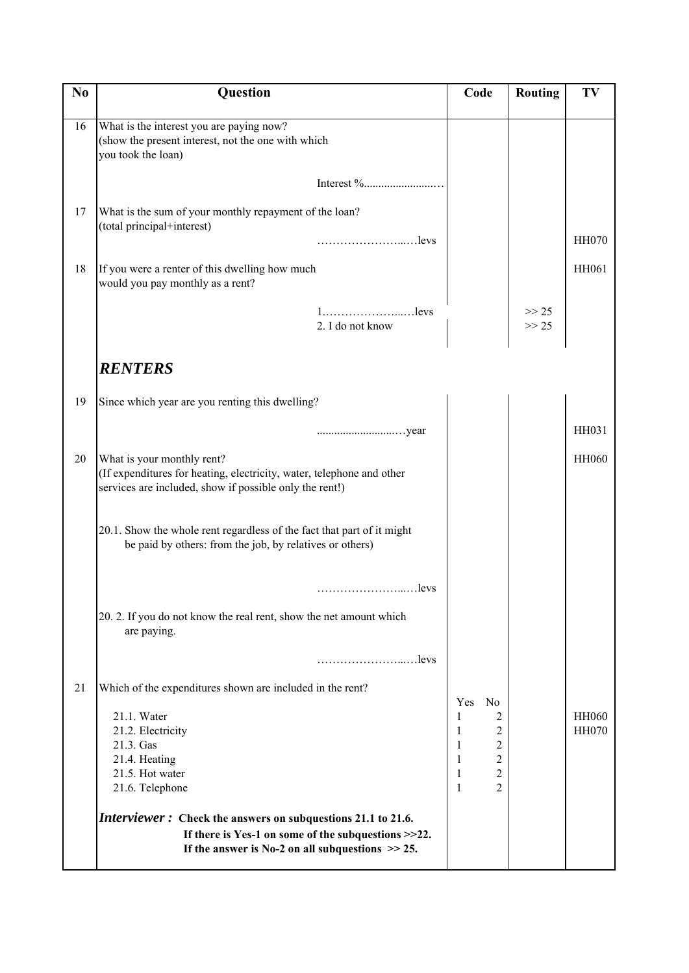| N <sub>0</sub> | <b>Question</b>                                                                                                                                                | Code                                       | <b>Routing</b>     | TV           |
|----------------|----------------------------------------------------------------------------------------------------------------------------------------------------------------|--------------------------------------------|--------------------|--------------|
|                |                                                                                                                                                                |                                            |                    |              |
| 16             | What is the interest you are paying now?<br>(show the present interest, not the one with which<br>you took the loan)                                           |                                            |                    |              |
|                |                                                                                                                                                                |                                            |                    |              |
| 17             | What is the sum of your monthly repayment of the loan?<br>(total principal+interest)                                                                           |                                            |                    |              |
|                |                                                                                                                                                                |                                            |                    | <b>HH070</b> |
| 18             | If you were a renter of this dwelling how much<br>would you pay monthly as a rent?                                                                             |                                            |                    | HH061        |
|                | 2. I do not know                                                                                                                                               |                                            | $>> 25$<br>$>> 25$ |              |
|                | <i><b>RENTERS</b></i>                                                                                                                                          |                                            |                    |              |
| 19             | Since which year are you renting this dwelling?                                                                                                                |                                            |                    |              |
|                |                                                                                                                                                                |                                            |                    | HH031        |
| 20             | What is your monthly rent?<br>(If expenditures for heating, electricity, water, telephone and other<br>services are included, show if possible only the rent!) |                                            |                    | <b>HH060</b> |
|                | 20.1. Show the whole rent regardless of the fact that part of it might<br>be paid by others: from the job, by relatives or others)                             |                                            |                    |              |
|                |                                                                                                                                                                |                                            |                    |              |
|                | 20. 2. If you do not know the real rent, show the net amount which<br>are paying.                                                                              |                                            |                    |              |
|                |                                                                                                                                                                |                                            |                    |              |
| 21             | Which of the expenditures shown are included in the rent?                                                                                                      | Yes<br>N <sub>0</sub>                      |                    |              |
|                | 21.1. Water                                                                                                                                                    | 1<br>2                                     |                    | <b>HH060</b> |
|                | 21.2. Electricity<br>21.3. Gas                                                                                                                                 | $\overline{c}$<br>1<br>$\overline{2}$<br>1 |                    | <b>HH070</b> |
|                | 21.4. Heating                                                                                                                                                  | $\overline{c}$<br>1                        |                    |              |
|                | 21.5. Hot water<br>21.6. Telephone                                                                                                                             | $\overline{c}$<br>1<br>$\overline{2}$<br>1 |                    |              |
|                | Interviewer: Check the answers on subquestions 21.1 to 21.6.                                                                                                   |                                            |                    |              |
|                | If there is Yes-1 on some of the subquestions $>>22$ .<br>If the answer is No-2 on all subquestions $\gg$ 25.                                                  |                                            |                    |              |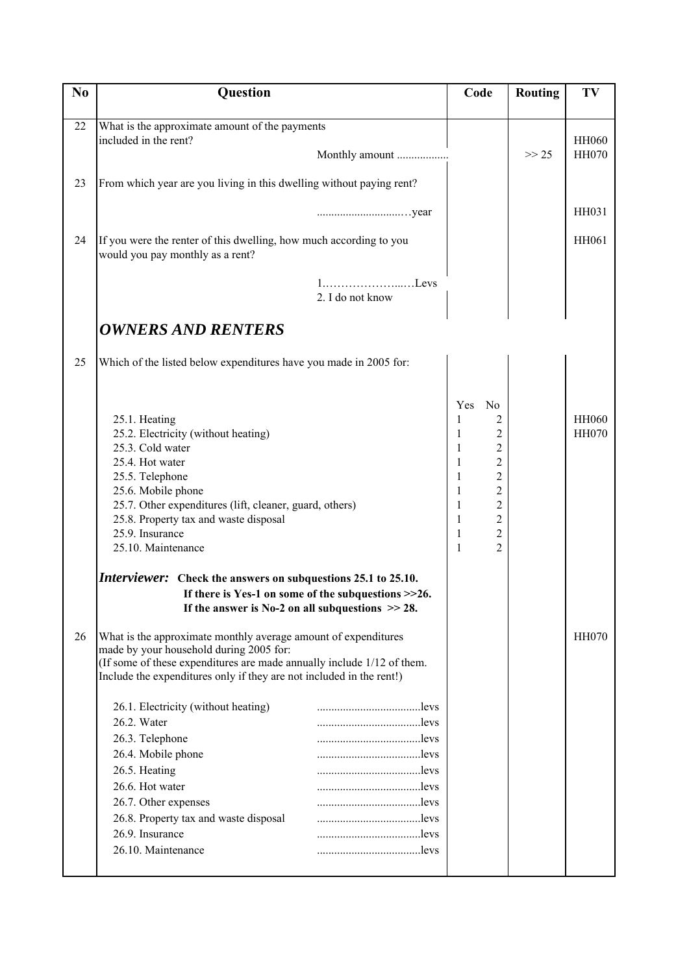| N <sub>0</sub> | Question                                                                                                                                                                                                                                                                          | Code                                                                                                                                                                                                                                      | <b>Routing</b> | TV                           |
|----------------|-----------------------------------------------------------------------------------------------------------------------------------------------------------------------------------------------------------------------------------------------------------------------------------|-------------------------------------------------------------------------------------------------------------------------------------------------------------------------------------------------------------------------------------------|----------------|------------------------------|
| 22             | What is the approximate amount of the payments                                                                                                                                                                                                                                    |                                                                                                                                                                                                                                           |                |                              |
|                | included in the rent?                                                                                                                                                                                                                                                             |                                                                                                                                                                                                                                           |                | <b>HH060</b>                 |
|                | Monthly amount                                                                                                                                                                                                                                                                    |                                                                                                                                                                                                                                           | >> 25          | <b>HH070</b>                 |
| 23             | From which year are you living in this dwelling without paying rent?                                                                                                                                                                                                              |                                                                                                                                                                                                                                           |                |                              |
|                |                                                                                                                                                                                                                                                                                   |                                                                                                                                                                                                                                           |                | HH031                        |
| 24             | If you were the renter of this dwelling, how much according to you<br>would you pay monthly as a rent?                                                                                                                                                                            |                                                                                                                                                                                                                                           |                | HH061                        |
|                | $1, \ldots, \ldots, \ldots, \ldots, L$ evs<br>2. I do not know                                                                                                                                                                                                                    |                                                                                                                                                                                                                                           |                |                              |
|                | <b>OWNERS AND RENTERS</b>                                                                                                                                                                                                                                                         |                                                                                                                                                                                                                                           |                |                              |
| 25             | Which of the listed below expenditures have you made in 2005 for:                                                                                                                                                                                                                 |                                                                                                                                                                                                                                           |                |                              |
|                | 25.1. Heating<br>25.2. Electricity (without heating)<br>25.3. Cold water<br>25.4. Hot water<br>25.5. Telephone<br>25.6. Mobile phone<br>25.7. Other expenditures (lift, cleaner, guard, others)<br>25.8. Property tax and waste disposal<br>25.9. Insurance<br>25.10. Maintenance | Yes<br>N <sub>0</sub><br>2<br>1<br>$\overline{c}$<br>$\overline{c}$<br>1<br>$\overline{c}$<br>1<br>$\overline{c}$<br>1<br>$\overline{2}$<br>1<br>$\overline{c}$<br>1<br>$\overline{2}$<br>1<br>$\overline{2}$<br>1<br>$\overline{2}$<br>1 |                | <b>HH060</b><br><b>HH070</b> |
|                | <i>Interviewer:</i> Check the answers on subquestions 25.1 to 25.10.<br>If there is Yes-1 on some of the subquestions $>>26$ .                                                                                                                                                    |                                                                                                                                                                                                                                           |                |                              |
|                | If the answer is No-2 on all subquestions $\gg$ 28.                                                                                                                                                                                                                               |                                                                                                                                                                                                                                           |                |                              |
| 26             | What is the approximate monthly average amount of expenditures<br>made by your household during 2005 for:<br>(If some of these expenditures are made annually include 1/12 of them.<br>Include the expenditures only if they are not included in the rent!)                       |                                                                                                                                                                                                                                           |                | <b>HH070</b>                 |
|                | 26.1. Electricity (without heating)<br>levs                                                                                                                                                                                                                                       |                                                                                                                                                                                                                                           |                |                              |
|                | 26.2. Water                                                                                                                                                                                                                                                                       |                                                                                                                                                                                                                                           |                |                              |
|                | 26.3. Telephone                                                                                                                                                                                                                                                                   |                                                                                                                                                                                                                                           |                |                              |
|                | 26.4. Mobile phone                                                                                                                                                                                                                                                                |                                                                                                                                                                                                                                           |                |                              |
|                | 26.5. Heating<br>levs<br>26.6. Hot water                                                                                                                                                                                                                                          |                                                                                                                                                                                                                                           |                |                              |
|                | 26.7. Other expenses                                                                                                                                                                                                                                                              |                                                                                                                                                                                                                                           |                |                              |
|                | 26.8. Property tax and waste disposal                                                                                                                                                                                                                                             |                                                                                                                                                                                                                                           |                |                              |
|                | 26.9. Insurance                                                                                                                                                                                                                                                                   |                                                                                                                                                                                                                                           |                |                              |
|                | 26.10. Maintenance<br>levs                                                                                                                                                                                                                                                        |                                                                                                                                                                                                                                           |                |                              |
|                |                                                                                                                                                                                                                                                                                   |                                                                                                                                                                                                                                           |                |                              |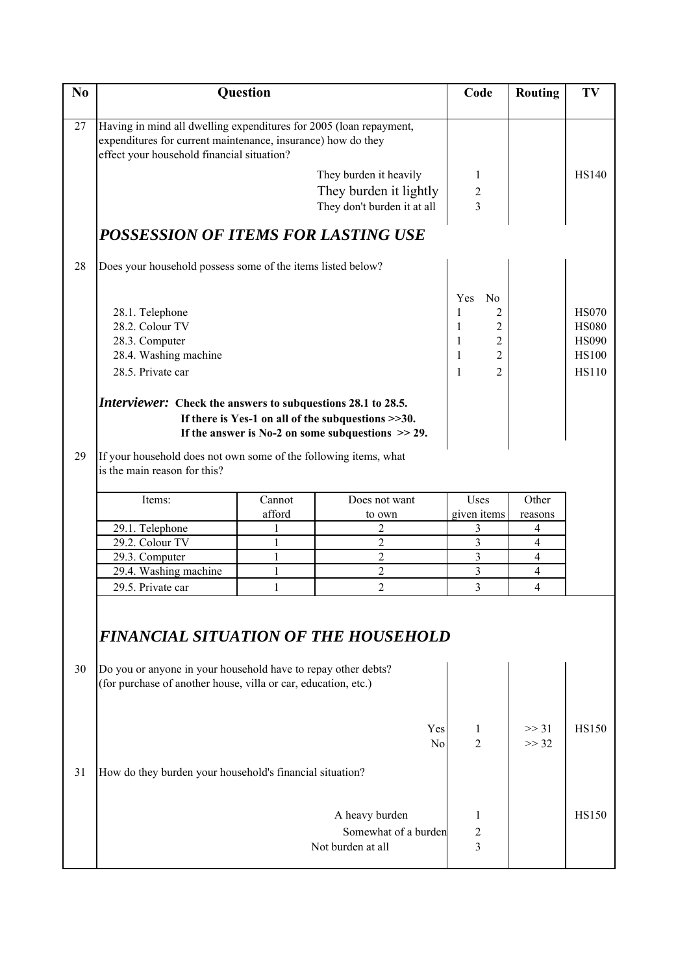| N <sub>0</sub> |                                                                                                                                                                                  | Question                      |                                                                                                               | Code                         | <b>Routing</b>                   | TV           |
|----------------|----------------------------------------------------------------------------------------------------------------------------------------------------------------------------------|-------------------------------|---------------------------------------------------------------------------------------------------------------|------------------------------|----------------------------------|--------------|
|                |                                                                                                                                                                                  |                               |                                                                                                               |                              |                                  |              |
| 27             | Having in mind all dwelling expenditures for 2005 (loan repayment,<br>expenditures for current maintenance, insurance) how do they<br>effect your household financial situation? |                               |                                                                                                               |                              |                                  |              |
|                |                                                                                                                                                                                  |                               | They burden it heavily                                                                                        | 1                            |                                  | <b>HS140</b> |
|                |                                                                                                                                                                                  |                               | They burden it lightly                                                                                        | $\overline{2}$               |                                  |              |
|                |                                                                                                                                                                                  |                               | They don't burden it at all                                                                                   | $\overline{\mathbf{3}}$      |                                  |              |
|                | POSSESSION OF ITEMS FOR LASTING USE                                                                                                                                              |                               |                                                                                                               |                              |                                  |              |
| 28             | Does your household possess some of the items listed below?                                                                                                                      |                               |                                                                                                               |                              |                                  |              |
|                |                                                                                                                                                                                  |                               |                                                                                                               | Yes<br>N <sub>o</sub>        |                                  |              |
|                | 28.1. Telephone                                                                                                                                                                  |                               |                                                                                                               | 1<br>2                       |                                  | <b>HS070</b> |
|                | 28.2. Colour TV                                                                                                                                                                  |                               |                                                                                                               | $\overline{c}$               |                                  | <b>HS080</b> |
|                | 28.3. Computer                                                                                                                                                                   |                               |                                                                                                               | $\overline{c}$<br>1          |                                  | <b>HS090</b> |
|                | 28.4. Washing machine                                                                                                                                                            |                               |                                                                                                               | $\overline{2}$<br>1          |                                  | <b>HS100</b> |
|                | 28.5. Private car                                                                                                                                                                |                               |                                                                                                               | $\overline{2}$<br>1          |                                  | <b>HS110</b> |
|                | Interviewer: Check the answers to subquestions 28.1 to 28.5.                                                                                                                     |                               | If there is Yes-1 on all of the subquestions $>>30$ .<br>If the answer is No-2 on some subquestions $\gg$ 29. |                              |                                  |              |
| 29             | If your household does not own some of the following items, what                                                                                                                 |                               |                                                                                                               |                              |                                  |              |
|                | is the main reason for this?                                                                                                                                                     |                               |                                                                                                               |                              |                                  |              |
|                | Items:                                                                                                                                                                           | Cannot                        | Does not want                                                                                                 | Uses                         | Other                            |              |
|                |                                                                                                                                                                                  | afford                        | to own                                                                                                        | given items                  | reasons                          |              |
|                | 29.1. Telephone                                                                                                                                                                  | 1                             | $\overline{c}$                                                                                                | 3                            | 4                                |              |
|                | 29.2. Colour TV                                                                                                                                                                  | $\mathbf{1}$<br>$\mathbbm{1}$ | $\overline{2}$<br>$\overline{c}$                                                                              | 3<br>3                       | $\overline{4}$<br>$\overline{4}$ |              |
|                | 29.3. Computer<br>29.4. Washing machine                                                                                                                                          | $\mathbf{1}$                  | $\overline{2}$                                                                                                | $\overline{\mathbf{3}}$      | $\overline{4}$                   |              |
|                | 29.5. Private car                                                                                                                                                                | 1                             | $\overline{2}$                                                                                                | 3                            | $\overline{4}$                   |              |
|                |                                                                                                                                                                                  |                               |                                                                                                               |                              |                                  |              |
| 30             | <b>FINANCIAL SITUATION OF THE HOUSEHOLD</b><br>Do you or anyone in your household have to repay other debts?                                                                     |                               |                                                                                                               |                              |                                  |              |
|                | (for purchase of another house, villa or car, education, etc.)                                                                                                                   |                               |                                                                                                               |                              |                                  |              |
|                |                                                                                                                                                                                  |                               | Yes<br>No                                                                                                     | 1<br>2                       | $>>$ 31<br>>> 32                 | <b>HS150</b> |
| 31             | How do they burden your household's financial situation?                                                                                                                         |                               |                                                                                                               |                              |                                  |              |
|                |                                                                                                                                                                                  |                               | A heavy burden                                                                                                | 1                            |                                  | <b>HS150</b> |
|                |                                                                                                                                                                                  |                               | Somewhat of a burden                                                                                          |                              |                                  |              |
|                |                                                                                                                                                                                  |                               | Not burden at all                                                                                             | $\overline{\mathbf{c}}$<br>3 |                                  |              |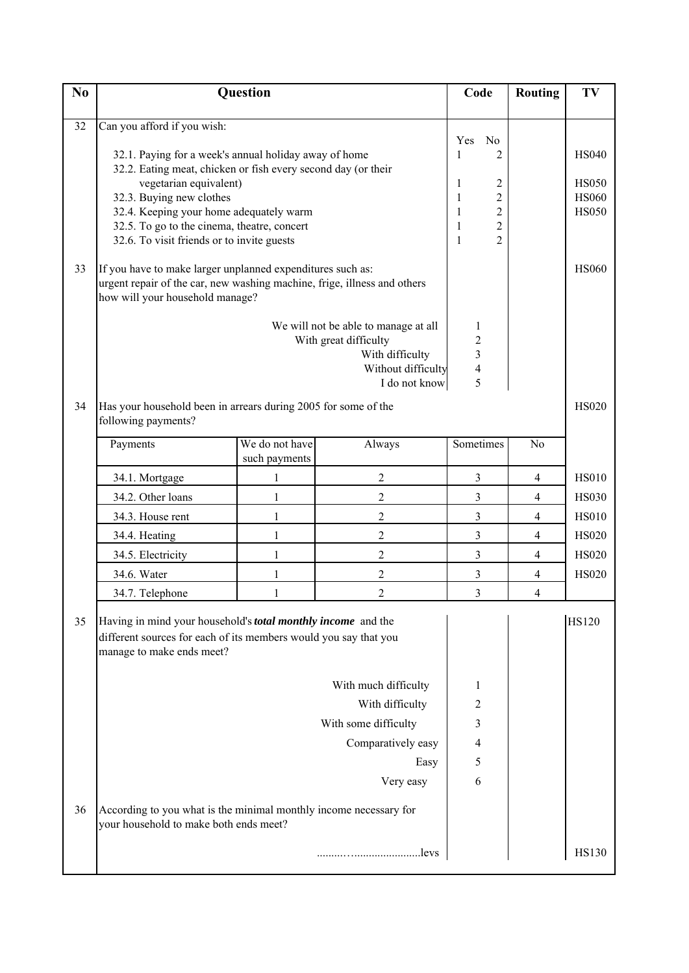| N <sub>0</sub> |                                                                                                                                                                                                                                                                                                                                                                                                                   | Question                        |                                                                                                                         | Code                                                                                                                                                       | <b>Routing</b>           | TV                                                                           |
|----------------|-------------------------------------------------------------------------------------------------------------------------------------------------------------------------------------------------------------------------------------------------------------------------------------------------------------------------------------------------------------------------------------------------------------------|---------------------------------|-------------------------------------------------------------------------------------------------------------------------|------------------------------------------------------------------------------------------------------------------------------------------------------------|--------------------------|------------------------------------------------------------------------------|
|                |                                                                                                                                                                                                                                                                                                                                                                                                                   |                                 |                                                                                                                         |                                                                                                                                                            |                          |                                                                              |
| 32<br>33       | Can you afford if you wish:<br>32.1. Paying for a week's annual holiday away of home<br>32.2. Eating meat, chicken or fish every second day (or their<br>vegetarian equivalent)<br>32.3. Buying new clothes<br>32.4. Keeping your home adequately warm<br>32.5. To go to the cinema, theatre, concert<br>32.6. To visit friends or to invite guests<br>If you have to make larger unplanned expenditures such as: |                                 |                                                                                                                         | Yes<br>No<br>2<br>1<br>2<br>1<br>$\overline{2}$<br>$\mathbf{1}$<br>$\overline{2}$<br>$\mathbf{1}$<br>$\overline{2}$<br>$\mathbf{1}$<br>$\overline{2}$<br>1 |                          | <b>HS040</b><br><b>HS050</b><br><b>HS060</b><br><b>HS050</b><br><b>HS060</b> |
|                | urgent repair of the car, new washing machine, frige, illness and others<br>how will your household manage?                                                                                                                                                                                                                                                                                                       |                                 | We will not be able to manage at all<br>With great difficulty<br>With difficulty<br>Without difficulty<br>I do not know | 1<br>$\overline{2}$<br>3<br>4<br>5                                                                                                                         |                          |                                                                              |
| 34             | Has your household been in arrears during 2005 for some of the<br>following payments?                                                                                                                                                                                                                                                                                                                             |                                 |                                                                                                                         |                                                                                                                                                            |                          | <b>HS020</b>                                                                 |
|                | Payments                                                                                                                                                                                                                                                                                                                                                                                                          | We do not have<br>such payments | Always                                                                                                                  | Sometimes                                                                                                                                                  | N <sub>0</sub>           |                                                                              |
|                | 34.1. Mortgage                                                                                                                                                                                                                                                                                                                                                                                                    | 1                               | $\overline{c}$                                                                                                          | 3                                                                                                                                                          | 4                        | <b>HS010</b>                                                                 |
|                | 34.2. Other loans                                                                                                                                                                                                                                                                                                                                                                                                 | 1                               | $\overline{c}$                                                                                                          | 3                                                                                                                                                          | $\overline{4}$           | <b>HS030</b>                                                                 |
|                | 34.3. House rent                                                                                                                                                                                                                                                                                                                                                                                                  | $\mathbf{1}$                    | $\overline{2}$                                                                                                          | 3                                                                                                                                                          | $\overline{4}$           | <b>HS010</b>                                                                 |
|                | 34.4. Heating                                                                                                                                                                                                                                                                                                                                                                                                     | 1                               | $\overline{c}$                                                                                                          | 3                                                                                                                                                          | $\overline{4}$           | <b>HS020</b>                                                                 |
|                | 34.5. Electricity                                                                                                                                                                                                                                                                                                                                                                                                 | 1                               | $\overline{2}$                                                                                                          | 3                                                                                                                                                          | 4                        | <b>HS020</b>                                                                 |
|                | 34.6. Water                                                                                                                                                                                                                                                                                                                                                                                                       | $\mathbf{1}$                    | $\overline{c}$                                                                                                          | 3                                                                                                                                                          | $\overline{\mathcal{A}}$ | <b>HS020</b>                                                                 |
|                | 34.7. Telephone                                                                                                                                                                                                                                                                                                                                                                                                   | $\mathbf{1}$                    | $\overline{2}$                                                                                                          | 3                                                                                                                                                          | $\overline{4}$           |                                                                              |
| 35             | Having in mind your household's total monthly income and the<br>different sources for each of its members would you say that you<br>manage to make ends meet?                                                                                                                                                                                                                                                     |                                 | With much difficulty                                                                                                    | 1                                                                                                                                                          |                          | <b>HS120</b>                                                                 |
|                |                                                                                                                                                                                                                                                                                                                                                                                                                   |                                 | With difficulty                                                                                                         | 2                                                                                                                                                          |                          |                                                                              |
|                |                                                                                                                                                                                                                                                                                                                                                                                                                   |                                 | With some difficulty                                                                                                    | 3                                                                                                                                                          |                          |                                                                              |
|                |                                                                                                                                                                                                                                                                                                                                                                                                                   |                                 | Comparatively easy                                                                                                      | 4                                                                                                                                                          |                          |                                                                              |
|                |                                                                                                                                                                                                                                                                                                                                                                                                                   |                                 | Easy                                                                                                                    | 5                                                                                                                                                          |                          |                                                                              |
|                |                                                                                                                                                                                                                                                                                                                                                                                                                   |                                 | Very easy                                                                                                               | 6                                                                                                                                                          |                          |                                                                              |
| 36             | According to you what is the minimal monthly income necessary for<br>your household to make both ends meet?                                                                                                                                                                                                                                                                                                       |                                 |                                                                                                                         |                                                                                                                                                            |                          |                                                                              |
|                |                                                                                                                                                                                                                                                                                                                                                                                                                   |                                 |                                                                                                                         |                                                                                                                                                            |                          | <b>HS130</b>                                                                 |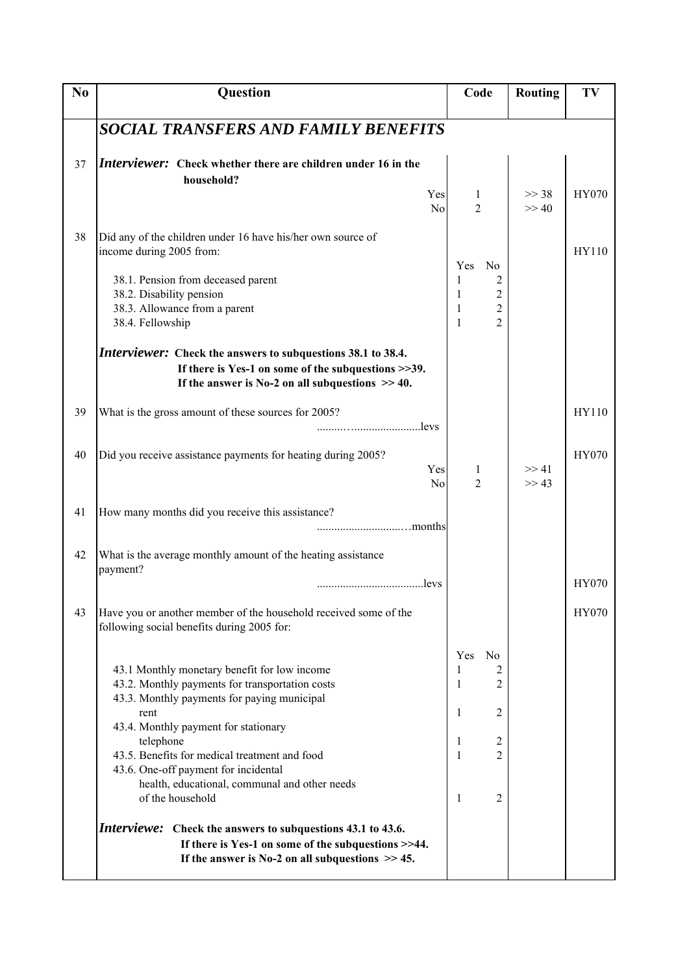| N <sub>0</sub> | <b>Question</b>                                                                                                                                                                                                                                                                                                                                                           | Code                                                                                                        | <b>Routing</b> | TV           |
|----------------|---------------------------------------------------------------------------------------------------------------------------------------------------------------------------------------------------------------------------------------------------------------------------------------------------------------------------------------------------------------------------|-------------------------------------------------------------------------------------------------------------|----------------|--------------|
|                | <b>SOCIAL TRANSFERS AND FAMILY BENEFITS</b>                                                                                                                                                                                                                                                                                                                               |                                                                                                             |                |              |
| 37             | Interviewer: Check whether there are children under 16 in the<br>household?<br>Yes<br>N <sub>o</sub>                                                                                                                                                                                                                                                                      | 1<br>$\overline{c}$                                                                                         | >> 38<br>>> 40 | HY070        |
| 38             | Did any of the children under 16 have his/her own source of<br>income during 2005 from:<br>38.1. Pension from deceased parent<br>38.2. Disability pension<br>38.3. Allowance from a parent<br>38.4. Fellowship                                                                                                                                                            | Yes<br>N <sub>0</sub><br>1<br>2<br>$\overline{c}$<br>1<br>$\overline{2}$<br>1<br>$\overline{2}$<br>1        |                | HY110        |
|                | <i>Interviewer:</i> Check the answers to subquestions 38.1 to 38.4.<br>If there is Yes-1 on some of the subquestions $>>39$ .<br>If the answer is No-2 on all subquestions $\gg$ 40.                                                                                                                                                                                      |                                                                                                             |                |              |
| 39             | What is the gross amount of these sources for 2005?<br>levs                                                                                                                                                                                                                                                                                                               |                                                                                                             |                | HY110        |
| 40             | Did you receive assistance payments for heating during 2005?<br>Yes<br>N <sub>o</sub>                                                                                                                                                                                                                                                                                     | 1<br>2                                                                                                      | >> 41<br>>> 43 | HY070        |
| 41             | How many months did you receive this assistance?                                                                                                                                                                                                                                                                                                                          |                                                                                                             |                |              |
| 42             | What is the average monthly amount of the heating assistance<br>payment?<br>levs                                                                                                                                                                                                                                                                                          |                                                                                                             |                | <b>HY070</b> |
| 43             | Have you or another member of the household received some of the<br>following social benefits during 2005 for:                                                                                                                                                                                                                                                            |                                                                                                             |                | HY070        |
|                | 43.1 Monthly monetary benefit for low income<br>43.2. Monthly payments for transportation costs<br>43.3. Monthly payments for paying municipal<br>rent<br>43.4. Monthly payment for stationary<br>telephone<br>43.5. Benefits for medical treatment and food<br>43.6. One-off payment for incidental<br>health, educational, communal and other needs<br>of the household | Yes<br>N <sub>0</sub><br>1<br>2<br>$\overline{2}$<br>1<br>2<br>1<br>2<br>1<br>$\overline{2}$<br>1<br>1<br>2 |                |              |
|                | Interviewe: Check the answers to subquestions 43.1 to 43.6.<br>If there is Yes-1 on some of the subquestions >>44.<br>If the answer is No-2 on all subquestions $\gg$ 45.                                                                                                                                                                                                 |                                                                                                             |                |              |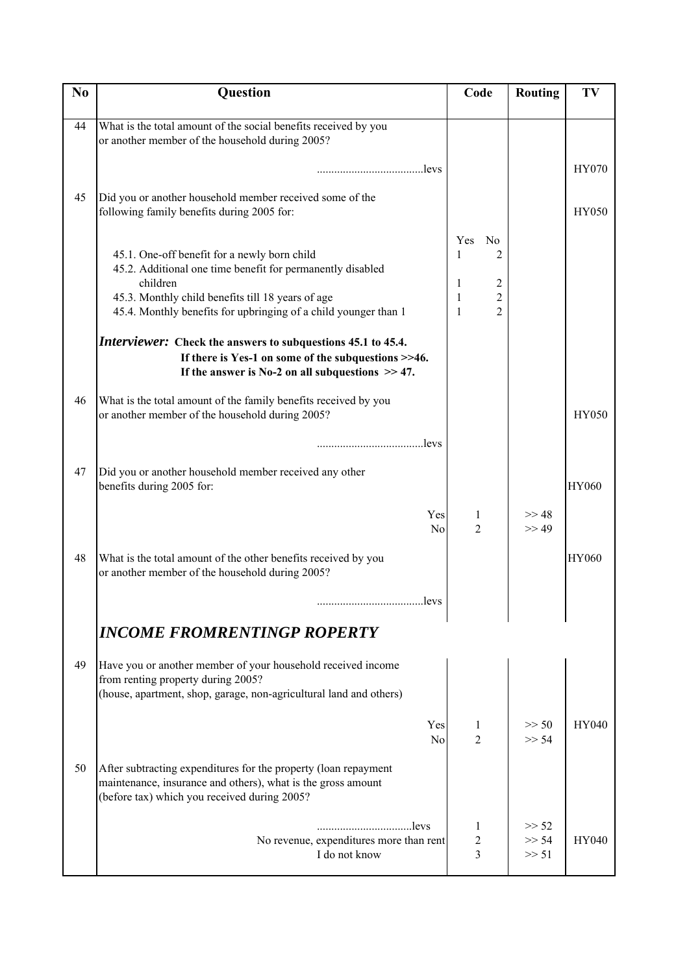| N <sub>0</sub> | Question                                                                                                                                                                                                                                       | Code                                                                                                        | Routing        | TV           |
|----------------|------------------------------------------------------------------------------------------------------------------------------------------------------------------------------------------------------------------------------------------------|-------------------------------------------------------------------------------------------------------------|----------------|--------------|
|                |                                                                                                                                                                                                                                                |                                                                                                             |                |              |
| 44             | What is the total amount of the social benefits received by you<br>or another member of the household during 2005?                                                                                                                             |                                                                                                             |                |              |
|                | levs                                                                                                                                                                                                                                           |                                                                                                             |                | HY070        |
| 45             | Did you or another household member received some of the<br>following family benefits during 2005 for:                                                                                                                                         |                                                                                                             |                | <b>HY050</b> |
|                | 45.1. One-off benefit for a newly born child<br>45.2. Additional one time benefit for permanently disabled<br>children<br>45.3. Monthly child benefits till 18 years of age<br>45.4. Monthly benefits for upbringing of a child younger than 1 | <b>Yes</b><br>N <sub>0</sub><br>1<br>2<br>$\overline{c}$<br>1<br>$\overline{c}$<br>1<br>$\overline{2}$<br>1 |                |              |
|                | Interviewer: Check the answers to subquestions 45.1 to 45.4.<br>If there is Yes-1 on some of the subquestions >>46.<br>If the answer is No-2 on all subquestions $\gg$ 47.                                                                     |                                                                                                             |                |              |
| 46             | What is the total amount of the family benefits received by you<br>or another member of the household during 2005?                                                                                                                             |                                                                                                             |                | <b>HY050</b> |
|                | levs                                                                                                                                                                                                                                           |                                                                                                             |                |              |
| 47             | Did you or another household member received any other<br>benefits during 2005 for:                                                                                                                                                            |                                                                                                             |                | <b>HY060</b> |
|                | Yes<br>N <sub>o</sub>                                                                                                                                                                                                                          | 1<br>2                                                                                                      | >> 48<br>>> 49 |              |
| 48             | What is the total amount of the other benefits received by you<br>or another member of the household during 2005?                                                                                                                              |                                                                                                             |                | <b>HY060</b> |
|                |                                                                                                                                                                                                                                                |                                                                                                             |                |              |
|                | <b>INCOME FROMRENTINGP ROPERTY</b>                                                                                                                                                                                                             |                                                                                                             |                |              |
| 49             | Have you or another member of your household received income<br>from renting property during 2005?<br>(house, apartment, shop, garage, non-agricultural land and others)                                                                       |                                                                                                             |                |              |
|                | Yes<br>N <sub>o</sub>                                                                                                                                                                                                                          | 1<br>2                                                                                                      | >> 50<br>>> 54 | HY040        |
| 50             | After subtracting expenditures for the property (loan repayment<br>maintenance, insurance and others), what is the gross amount<br>(before tax) which you received during 2005?                                                                |                                                                                                             |                |              |
|                | No revenue, expenditures more than rent                                                                                                                                                                                                        | 1<br>$\overline{c}$                                                                                         | >> 52<br>>> 54 | <b>HY040</b> |
|                | I do not know                                                                                                                                                                                                                                  | 3                                                                                                           | >> 51          |              |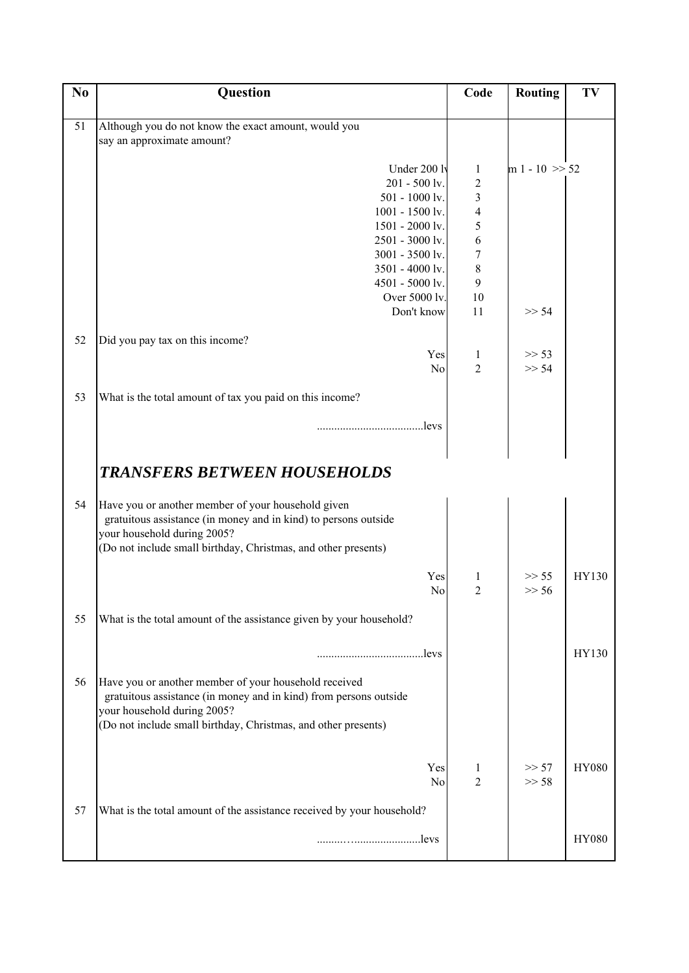| N <sub>0</sub> | <b>Question</b>                                                                                                       | Code                    | <b>Routing</b>    | TV           |
|----------------|-----------------------------------------------------------------------------------------------------------------------|-------------------------|-------------------|--------------|
|                |                                                                                                                       |                         |                   |              |
| 51             | Although you do not know the exact amount, would you                                                                  |                         |                   |              |
|                | say an approximate amount?                                                                                            |                         |                   |              |
|                |                                                                                                                       |                         |                   |              |
|                | Under 200 lv                                                                                                          | 1                       | $m 1 - 10 \gg 52$ |              |
|                | $201 - 500$ lv.                                                                                                       | $\overline{\mathbf{c}}$ |                   |              |
|                | $501 - 1000$ lv.<br>$1001 - 1500$ lv.                                                                                 | 3<br>$\overline{4}$     |                   |              |
|                | 1501 - 2000 lv.                                                                                                       | 5                       |                   |              |
|                | 2501 - 3000 lv.                                                                                                       | 6                       |                   |              |
|                | 3001 - 3500 lv.                                                                                                       | 7                       |                   |              |
|                | 3501 - 4000 lv.                                                                                                       | 8                       |                   |              |
|                | 4501 - 5000 lv.                                                                                                       | 9                       |                   |              |
|                | Over 5000 lv.                                                                                                         | 10                      |                   |              |
|                | Don't know                                                                                                            | 11                      | >> 54             |              |
|                |                                                                                                                       |                         |                   |              |
| 52             | Did you pay tax on this income?<br>Yes                                                                                |                         | >> 53             |              |
|                | No                                                                                                                    | 1<br>$\overline{c}$     | >> 54             |              |
|                |                                                                                                                       |                         |                   |              |
| 53             | What is the total amount of tax you paid on this income?                                                              |                         |                   |              |
|                |                                                                                                                       |                         |                   |              |
|                | levs                                                                                                                  |                         |                   |              |
|                |                                                                                                                       |                         |                   |              |
|                |                                                                                                                       |                         |                   |              |
|                | <b>TRANSFERS BETWEEN HOUSEHOLDS</b>                                                                                   |                         |                   |              |
|                |                                                                                                                       |                         |                   |              |
| 54             | Have you or another member of your household given<br>gratuitous assistance (in money and in kind) to persons outside |                         |                   |              |
|                | your household during 2005?                                                                                           |                         |                   |              |
|                | (Do not include small birthday, Christmas, and other presents)                                                        |                         |                   |              |
|                |                                                                                                                       |                         |                   |              |
|                | Yes                                                                                                                   |                         | >> 55             | HY130        |
|                | N <sub>o</sub>                                                                                                        | $\overline{2}$          | >> 56             |              |
|                |                                                                                                                       |                         |                   |              |
| 55             | What is the total amount of the assistance given by your household?                                                   |                         |                   |              |
|                |                                                                                                                       |                         |                   |              |
|                |                                                                                                                       |                         |                   | HY130        |
|                |                                                                                                                       |                         |                   |              |
| 56             | Have you or another member of your household received                                                                 |                         |                   |              |
|                | gratuitous assistance (in money and in kind) from persons outside<br>your household during 2005?                      |                         |                   |              |
|                | (Do not include small birthday, Christmas, and other presents)                                                        |                         |                   |              |
|                |                                                                                                                       |                         |                   |              |
|                |                                                                                                                       |                         |                   |              |
|                | Yes                                                                                                                   | 1                       | >> 57             | <b>HY080</b> |
|                | No                                                                                                                    | $\overline{2}$          | >> 58             |              |
|                |                                                                                                                       |                         |                   |              |
| 57             | What is the total amount of the assistance received by your household?                                                |                         |                   |              |
|                | levs                                                                                                                  |                         |                   | <b>HY080</b> |
|                |                                                                                                                       |                         |                   |              |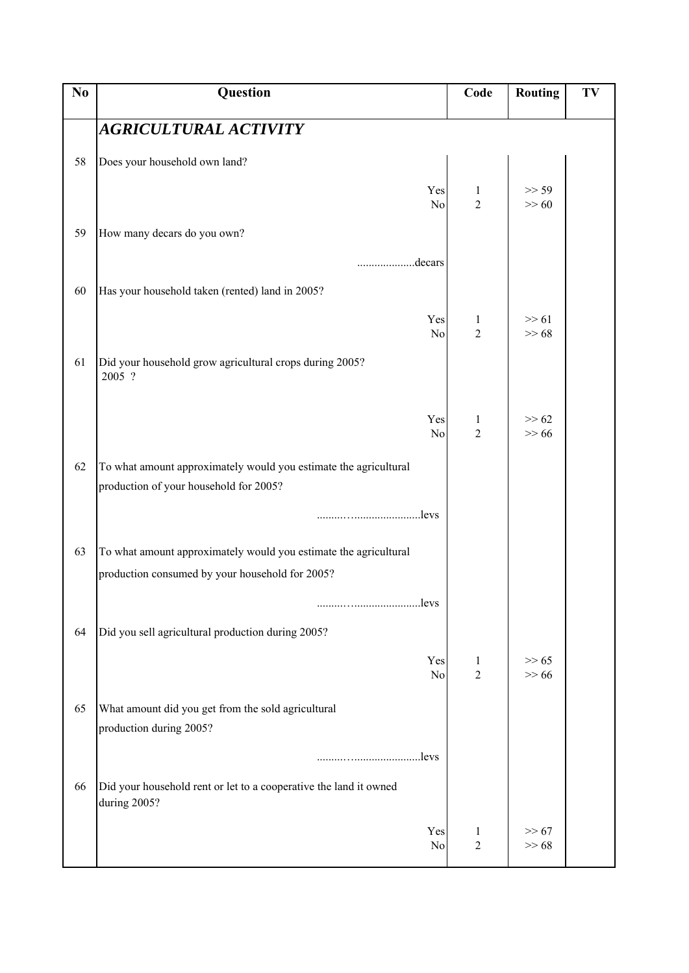| N <sub>0</sub> | Question                                                                                                   | Code                           | <b>Routing</b>   | TV |
|----------------|------------------------------------------------------------------------------------------------------------|--------------------------------|------------------|----|
|                | AGRICULTURAL ACTIVITY                                                                                      |                                |                  |    |
| 58             | Does your household own land?                                                                              |                                |                  |    |
|                | Yes<br>No                                                                                                  | $\mathbf{1}$<br>$\overline{2}$ | >> 59<br>$>> 60$ |    |
| 59             | How many decars do you own?                                                                                |                                |                  |    |
|                | .decars                                                                                                    |                                |                  |    |
| 60             | Has your household taken (rented) land in 2005?                                                            |                                |                  |    |
|                | Yes<br>$\rm No$                                                                                            | 1<br>$\overline{2}$            | $>> 61$<br>>> 68 |    |
| 61             | Did your household grow agricultural crops during 2005?<br>2005 ?                                          |                                |                  |    |
|                | Yes<br>No                                                                                                  | $\mathbf{1}$<br>$\overline{c}$ | >> 62<br>$>> 66$ |    |
| 62             | To what amount approximately would you estimate the agricultural<br>production of your household for 2005? |                                |                  |    |
|                |                                                                                                            |                                |                  |    |
| 63             | To what amount approximately would you estimate the agricultural                                           |                                |                  |    |
|                | production consumed by your household for 2005?                                                            |                                |                  |    |
|                |                                                                                                            |                                |                  |    |
| 64             | Did you sell agricultural production during 2005?                                                          |                                |                  |    |
|                | Yes<br>No                                                                                                  | $\mathbf{1}$<br>$\overline{2}$ | >> 65<br>$>> 66$ |    |
| 65             | What amount did you get from the sold agricultural<br>production during 2005?                              |                                |                  |    |
|                | levs                                                                                                       |                                |                  |    |
| 66             | Did your household rent or let to a cooperative the land it owned<br>during 2005?                          |                                |                  |    |
|                | Yes<br>No                                                                                                  | 1<br>$\sqrt{2}$                | >> 67<br>>> 68   |    |